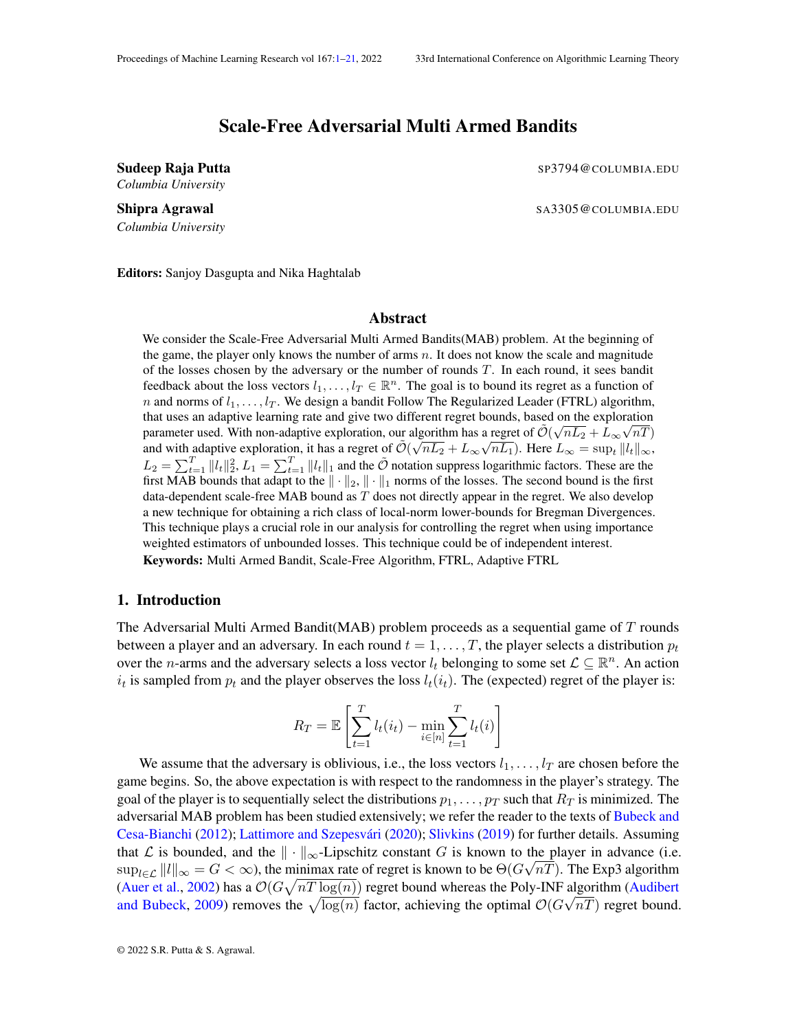# Scale-Free Adversarial Multi Armed Bandits

*Columbia University*

<span id="page-0-0"></span>Sudeep Raja Putta SP3794@COLUMBIA.EDU

Shipra Agrawal Samman Santon Communication Samman Santon Santon Santon Santon Santon Santon Santon Santon Santon Santon Santon Santon Santon Santon Santon Santon Santon Santon Santon Santon Santon Santon Santon Santon Sant

*Columbia University*

Editors: Sanjoy Dasgupta and Nika Haghtalab

### **Abstract**

We consider the Scale-Free Adversarial Multi Armed Bandits(MAB) problem. At the beginning of the game, the player only knows the number of arms  $n$ . It does not know the scale and magnitude of the losses chosen by the adversary or the number of rounds T. In each round, it sees bandit feedback about the loss vectors  $l_1, \ldots, l_T \in \mathbb{R}^n$ . The goal is to bound its regret as a function of n and norms of  $l_1, \ldots, l_T$ . We design a bandit Follow The Regularized Leader (FTRL) algorithm, that uses an adaptive learning rate and give two different regret bounds, based on the exploration parameter used. With non-adaptive exploration, our algorithm has a regret of  $\tilde{\mathcal{O}}(\sqrt{nL_2} + L_{\infty}\sqrt{nT})$ and with adaptive exploration, it has a regret of  $\tilde{\mathcal{O}}(\sqrt{nL_2} + L_\infty \sqrt{nL_1})$ . Here  $L_\infty = \sup_t ||l_t||_\infty$ ,  $L_2 = \sum_{t=1}^T ||l_t||_2^2$ ,  $L_1 = \sum_{t=1}^T ||l_t||_1$  and the  $\tilde{\mathcal{O}}$  notation suppress logarithmic factors. These are the first MAB bounds that adapt to the  $\|\cdot\|_2$ ,  $\|\cdot\|_1$  norms of the losses. The second bound is the first data-dependent scale-free MAB bound as  $T$  does not directly appear in the regret. We also develop a new technique for obtaining a rich class of local-norm lower-bounds for Bregman Divergences. This technique plays a crucial role in our analysis for controlling the regret when using importance weighted estimators of unbounded losses. This technique could be of independent interest. Keywords: Multi Armed Bandit, Scale-Free Algorithm, FTRL, Adaptive FTRL

# 1. Introduction

The Adversarial Multi Armed Bandit ( $MAB$ ) problem proceeds as a sequential game of  $T$  rounds between a player and an adversary. In each round  $t = 1, \ldots, T$ , the player selects a distribution  $p_t$ over the *n*-arms and the adversary selects a loss vector  $l_t$  belonging to some set  $\mathcal{L} \subseteq \mathbb{R}^n$ . An action  $i_t$  is sampled from  $p_t$  and the player observes the loss  $l_t(i_t)$ . The (expected) regret of the player is:

$$
R_T = \mathbb{E}\left[\sum_{t=1}^T l_t(i_t) - \min_{i \in [n]} \sum_{t=1}^T l_t(i)\right]
$$

We assume that the adversary is oblivious, i.e., the loss vectors  $l_1, \ldots, l_T$  are chosen before the game begins. So, the above expectation is with respect to the randomness in the player's strategy. The goal of the player is to sequentially select the distributions  $p_1, \ldots, p_T$  such that  $R_T$  is minimized. The adversarial MAB problem has been studied extensively; we refer the reader to the texts of [Bubeck and](#page-13-0) [Cesa-Bianchi](#page-13-0) [\(2012\)](#page-13-0); Lattimore and Szepesvári [\(2020\)](#page-15-0); [Slivkins](#page-15-1) [\(2019\)](#page-15-1) for further details. Assuming that L is bounded, and the  $\|\cdot\|_{\infty}$ -Lipschitz constant G is known to the player in advance (i.e.  $\sup_{l\in\mathcal{L}}||l||_{\infty}=G<\infty$ ), the minimax rate of regret is known to be  $\Theta(G\sqrt{nT})$ . The Exp3 algorithm [\(Auer et al.,](#page-13-1) [2002\)](#page-13-1) has a  $\mathcal{O}(G\sqrt{nT \log(n)})$  regret bound whereas the Poly-INF algorithm [\(Audibert](#page-13-2) [and Bubeck,](#page-13-2) [2009\)](#page-13-2) removes the  $\sqrt{\log(n)}$  factor, achieving the optimal  $\mathcal{O}(G\sqrt{nT})$  regret bound.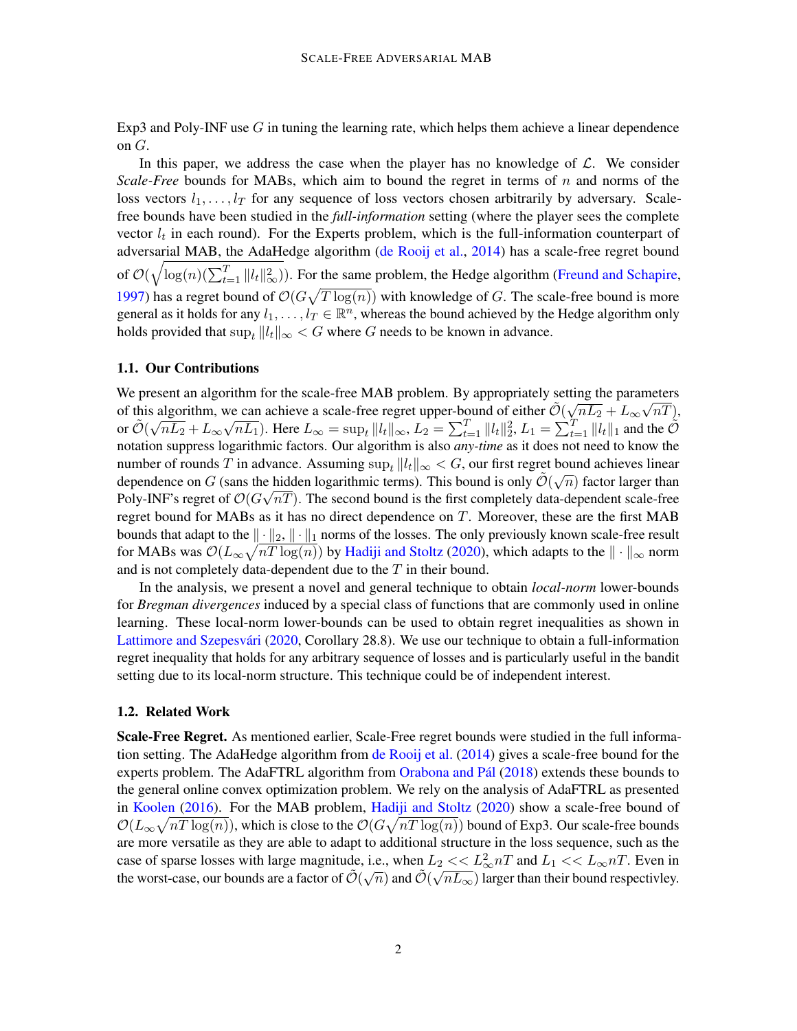Exp3 and Poly-INF use  $G$  in tuning the learning rate, which helps them achieve a linear dependence on G.

In this paper, we address the case when the player has no knowledge of  $\mathcal{L}$ . We consider *Scale-Free* bounds for MABs, which aim to bound the regret in terms of n and norms of the loss vectors  $l_1, \ldots, l_T$  for any sequence of loss vectors chosen arbitrarily by adversary. Scalefree bounds have been studied in the *full-information* setting (where the player sees the complete vector  $l_t$  in each round). For the Experts problem, which is the full-information counterpart of adversarial MAB, the AdaHedge algorithm [\(de Rooij et al.,](#page-14-0) [2014\)](#page-14-0) has a scale-free regret bound of  $\mathcal{O}(\sqrt{\log(n)(\sum_{t=1}^{T} ||l_t||^2_{\infty}}))$ . For the same problem, the Hedge algorithm [\(Freund and Schapire,](#page-14-1) [1997\)](#page-14-1) has a regret bound of  $\mathcal{O}(G\sqrt{T \log(n)})$  with knowledge of G. The scale-free bound is more general as it holds for any  $l_1, \ldots, l_T \in \mathbb{R}^n$ , whereas the bound achieved by the Hedge algorithm only holds provided that  $\sup_t ||l_t||_{\infty} < G$  where G needs to be known in advance.

### 1.1. Our Contributions

We present an algorithm for the scale-free MAB problem. By appropriately setting the parameters of this algorithm, we can achieve a scale-free regret upper-bound of either  $\tilde{\mathcal{O}}(\sqrt{nL_2} + L_{\infty}\sqrt{nT})$ , or  $\tilde{\mathcal{O}}(\sqrt{2})$  $\overline{nL_2} + L_{\infty}$ wç  $\overline{nL_1}$ ). Here  $L_{\infty} = \sup_t ||l_t||_{\infty}$ ,  $L_2 = \sum_{t=1}^T ||l_t||_2^2$ ,  $L_1 = \sum_{t=1}^T ||l_t||_1$  and the  $\tilde{\mathcal{O}}$ notation suppress logarithmic factors. Our algorithm is also *any-time* as it does not need to know the number of rounds T in advance. Assuming  $\sup_t ||l_t||_{\infty} < G$ , our first regret bound achieves linear dependence on G (sans the hidden logarithmic terms). This bound is only  $\tilde{\mathcal{O}}(\sqrt{n})$  factor larger than Poly-INF's regret of  $\mathcal{O}(G\sqrt{nT})$ . The second bound is the first completely data-dependent scale-free regret bound for MABs as it has no direct dependence on  $T$ . Moreover, these are the first MAB bounds that adapt to the  $\|\cdot\|_2$ ,  $\|\cdot\|_1$  norms of the losses. The only previously known scale-free result for MABs was  $\mathcal{O}(L_\infty\sqrt{nT\log(n)})$  by [Hadiji and Stoltz](#page-14-2) [\(2020\)](#page-14-2), which adapts to the  $\|\cdot\|_\infty$  norm and is not completely data-dependent due to the  $T$  in their bound.

In the analysis, we present a novel and general technique to obtain *local-norm* lower-bounds for *Bregman divergences* induced by a special class of functions that are commonly used in online learning. These local-norm lower-bounds can be used to obtain regret inequalities as shown in Lattimore and Szepesvári [\(2020,](#page-15-0) Corollary 28.8). We use our technique to obtain a full-information regret inequality that holds for any arbitrary sequence of losses and is particularly useful in the bandit setting due to its local-norm structure. This technique could be of independent interest.

#### 1.2. Related Work

Scale-Free Regret. As mentioned earlier, Scale-Free regret bounds were studied in the full information setting. The AdaHedge algorithm from [de Rooij et al.](#page-14-0) [\(2014\)](#page-14-0) gives a scale-free bound for the experts problem. The AdaFTRL algorithm from Orabona and Pál [\(2018\)](#page-15-2) extends these bounds to the general online convex optimization problem. We rely on the analysis of AdaFTRL as presented in [Koolen](#page-15-3) [\(2016\)](#page-15-3). For the MAB problem, [Hadiji and Stoltz](#page-14-2) [\(2020\)](#page-14-2) show a scale-free bound of  $\mathcal{O}(L_\infty\sqrt{nT\log(n)})$ , which is close to the  $\mathcal{O}(G\sqrt{nT\log(n)})$  bound of Exp3. Our scale-free bounds are more versatile as they are able to adapt to additional structure in the loss sequence, such as the case of sparse losses with large magnitude, i.e., when  $L_2 \ll L_2^2 nT$  and  $L_1 \ll L_\infty nT$ . Even in the worst-case, our bounds are a factor of  $\tilde{O}(\sqrt{n})$  and  $\tilde{O}(\sqrt{nL_{\infty}})$  larger than their bound respectivley.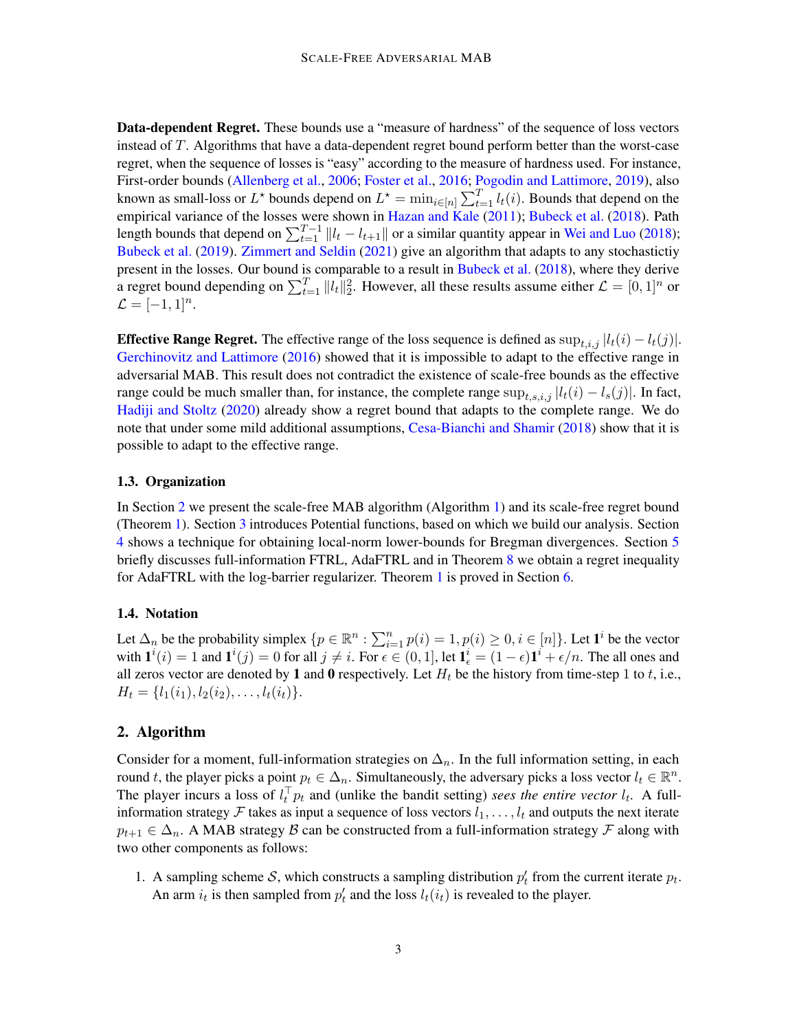Data-dependent Regret. These bounds use a "measure of hardness" of the sequence of loss vectors instead of T. Algorithms that have a data-dependent regret bound perform better than the worst-case regret, when the sequence of losses is "easy" according to the measure of hardness used. For instance, First-order bounds [\(Allenberg et al.,](#page-13-3) [2006;](#page-13-3) [Foster et al.,](#page-14-3) [2016;](#page-14-3) [Pogodin and Lattimore,](#page-15-4) [2019\)](#page-15-4), also known as small-loss or  $L^*$  bounds depend on  $L^* = \min_{i \in [n]} \sum_{t=1}^T l_i(i)$ . Bounds that depend on the empirical variance of the losses were shown in [Hazan and Kale](#page-14-4) [\(2011\)](#page-14-4); [Bubeck et al.](#page-13-4) [\(2018\)](#page-13-4). Path length bounds that depend on  $\sum_{t=1}^{T-1} ||l_t - l_{t+1}||$  or a similar quantity appear in [Wei and Luo](#page-15-5) [\(2018\)](#page-15-5); [Bubeck et al.](#page-13-5) [\(2019\)](#page-13-5). [Zimmert and Seldin](#page-15-6) [\(2021\)](#page-15-6) give an algorithm that adapts to any stochastictiy present in the losses. Our bound is comparable to a result in [Bubeck et al.](#page-13-4) [\(2018\)](#page-13-4), where they derive a regret bound depending on  $\sum_{t=1}^{T} ||l_t||_2^2$ . However, all these results assume either  $\mathcal{L} = [0, 1]^n$  or  $\mathcal{L} = [-1, 1]^n.$ 

**Effective Range Regret.** The effective range of the loss sequence is defined as  $\sup_{t,i,j} |l_t(i) - l_t(j)|$ . [Gerchinovitz and Lattimore](#page-14-5) [\(2016\)](#page-14-5) showed that it is impossible to adapt to the effective range in adversarial MAB. This result does not contradict the existence of scale-free bounds as the effective range could be much smaller than, for instance, the complete range  $\sup_{t,s,i,j} |l_t(i) - l_s(j)|$ . In fact, [Hadiji and Stoltz](#page-14-2) [\(2020\)](#page-14-2) already show a regret bound that adapts to the complete range. We do note that under some mild additional assumptions, [Cesa-Bianchi and Shamir](#page-14-6) [\(2018\)](#page-14-6) show that it is possible to adapt to the effective range.

#### 1.3. Organization

In Section [2](#page-2-0) we present the scale-free MAB algorithm (Algorithm [1\)](#page-4-0) and its scale-free regret bound (Theorem [1\)](#page-4-1). Section [3](#page-5-0) introduces Potential functions, based on which we build our analysis. Section [4](#page-6-0) shows a technique for obtaining local-norm lower-bounds for Bregman divergences. Section [5](#page-7-0) briefly discusses full-information FTRL, AdaFTRL and in Theorem [8](#page-8-0) we obtain a regret inequality for AdaFTRL with the log-barrier regularizer. Theorem [1](#page-4-1) is proved in Section [6.](#page-9-0)

#### 1.4. Notation

Let  $\Delta_n$  be the probability simplex  $\{p \in \mathbb{R}^n : \sum_{i=1}^n p(i) = 1, p(i) \ge 0, i \in [n]\}\)$ . Let  $\mathbf{1}^i$  be the vector with  $\mathbf{1}^i(i) = 1$  and  $\mathbf{1}^i(j) = 0$  for all  $j \neq i$ . For  $\epsilon \in (0, 1]$ , let  $\mathbf{1}_{\epsilon}^i = (1 - \epsilon)\mathbf{1}^i + \epsilon/n$ . The all ones and all zeros vector are denoted by 1 and 0 respectively. Let  $H_t$  be the history from time-step 1 to t, i.e.,  $H_t = \{l_1(i_1), l_2(i_2), \ldots, l_t(i_t)\}.$ 

## <span id="page-2-0"></span>2. Algorithm

Consider for a moment, full-information strategies on  $\Delta_n$ . In the full information setting, in each round t, the player picks a point  $p_t \in \Delta_n$ . Simultaneously, the adversary picks a loss vector  $l_t \in \mathbb{R}^n$ . The player incurs a loss of  $l_t^{\top} p_t$  and (unlike the bandit setting) *sees the entire vector*  $l_t$ . A fullinformation strategy F takes as input a sequence of loss vectors  $l_1, \ldots, l_t$  and outputs the next iterate  $p_{t+1} \in \Delta_n$ . A MAB strategy  $\beta$  can be constructed from a full-information strategy  $\mathcal F$  along with two other components as follows:

1. A sampling scheme S, which constructs a sampling distribution  $p'_t$  from the current iterate  $p_t$ . An arm  $i_t$  is then sampled from  $p'_t$  and the loss  $l_t(i_t)$  is revealed to the player.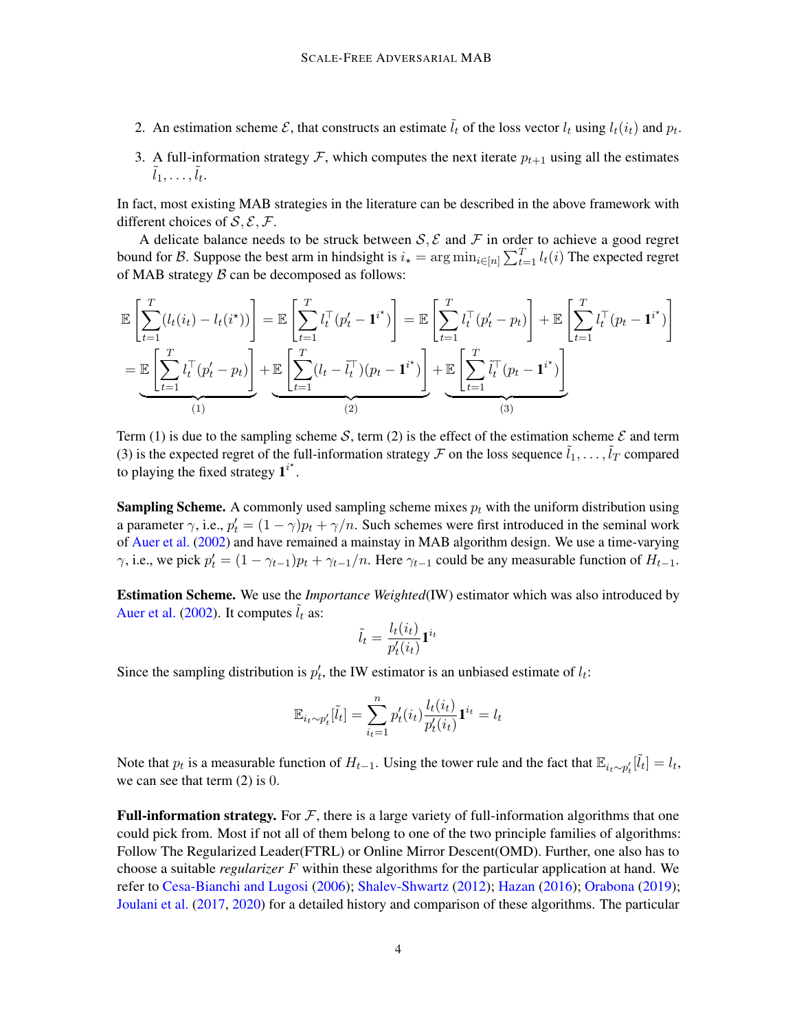- 2. An estimation scheme  $\mathcal{E}$ , that constructs an estimate  $\tilde{l}_t$  of the loss vector  $l_t$  using  $l_t(i_t)$  and  $p_t$ .
- 3. A full-information strategy  $\mathcal{F}$ , which computes the next iterate  $p_{t+1}$  using all the estimates  $\tilde{l}_1,\ldots,\tilde{l}_t.$

In fact, most existing MAB strategies in the literature can be described in the above framework with different choices of  $S$ ,  $E$ ,  $F$ .

A delicate balance needs to be struck between  $S, \mathcal{E}$  and  $\mathcal{F}$  in order to achieve a good regret bound for B. Suppose the best arm in hindsight is  $i_\star = \arg \min_{i \in [n]} \sum_{t=1}^T l_t(i)$  The expected regret of MAB strategy  $\beta$  can be decomposed as follows:

$$
\mathbb{E}\left[\sum_{t=1}^T (l_t(i_t) - l_t(i^*))\right] = \mathbb{E}\left[\sum_{t=1}^T l_t^\top (p'_t - \mathbf{1}^{i^*})\right] = \mathbb{E}\left[\sum_{t=1}^T l_t^\top (p'_t - p_t)\right] + \mathbb{E}\left[\sum_{t=1}^T l_t^\top (p'_t - p_t)\right] + \mathbb{E}\left[\sum_{t=1}^T l_t^\top (p'_t - p_t)\right] + \mathbb{E}\left[\sum_{t=1}^T l_t^\top (p_t - \mathbf{1}^{i^*})\right]
$$
\n
$$
= \underbrace{\mathbb{E}\left[\sum_{t=1}^T l_t^\top (p'_t - p_t)\right]}_{(1)} + \underbrace{\mathbb{E}\left[\sum_{t=1}^T (l_t - \tilde{l}_t^\top)(p_t - \mathbf{1}^{i^*})\right]}_{(2)} + \underbrace{\mathbb{E}\left[\sum_{t=1}^T \tilde{l}_t^\top (p_t - \mathbf{1}^{i^*})\right]}_{(3)}
$$

Term (1) is due to the sampling scheme S, term (2) is the effect of the estimation scheme  $\mathcal E$  and term (3) is the expected regret of the full-information strategy  $\mathcal F$  on the loss sequence  $\tilde{l}_1, \ldots, \tilde{l}_T$  compared to playing the fixed strategy  $1^{i^*}$ .

**Sampling Scheme.** A commonly used sampling scheme mixes  $p_t$  with the uniform distribution using a parameter  $\gamma$ , i.e.,  $p'_t = (1 - \gamma)p_t + \gamma/n$ . Such schemes were first introduced in the seminal work of [Auer et al.](#page-13-1) [\(2002\)](#page-13-1) and have remained a mainstay in MAB algorithm design. We use a time-varying  $\gamma$ , i.e., we pick  $p'_t = (1 - \gamma_{t-1})p_t + \gamma_{t-1}/n$ . Here  $\gamma_{t-1}$  could be any measurable function of  $H_{t-1}$ .

Estimation Scheme. We use the *Importance Weighted*(IW) estimator which was also introduced by [Auer et al.](#page-13-1) [\(2002\)](#page-13-1). It computes  $l_t$  as:

$$
\tilde{l}_t = \frac{l_t(i_t)}{p'_t(i_t)} \mathbf{1}^{i_t}
$$

Since the sampling distribution is  $p'_t$ , the IW estimator is an unbiased estimate of  $l_t$ :

$$
\mathbb{E}_{i_t \sim p'_t}[\tilde{l}_t] = \sum_{i_t=1}^n p'_t(i_t) \frac{l_t(i_t)}{p'_t(i_t)} \mathbf{1}^{i_t} = l_t
$$

Note that  $p_t$  is a measurable function of  $H_{t-1}$ . Using the tower rule and the fact that  $\mathbb{E}_{i_t \sim p'_t}[\tilde{l}_t] = l_t$ , we can see that term (2) is 0.

**Full-information strategy.** For  $\mathcal F$ , there is a large variety of full-information algorithms that one could pick from. Most if not all of them belong to one of the two principle families of algorithms: Follow The Regularized Leader(FTRL) or Online Mirror Descent(OMD). Further, one also has to choose a suitable *regularizer* F within these algorithms for the particular application at hand. We refer to [Cesa-Bianchi and Lugosi](#page-13-6) [\(2006\)](#page-13-6); [Shalev-Shwartz](#page-15-7) [\(2012\)](#page-15-7); [Hazan](#page-14-7) [\(2016\)](#page-14-7); [Orabona](#page-15-8) [\(2019\)](#page-15-8); [Joulani et al.](#page-14-8) [\(2017,](#page-14-8) [2020\)](#page-14-9) for a detailed history and comparison of these algorithms. The particular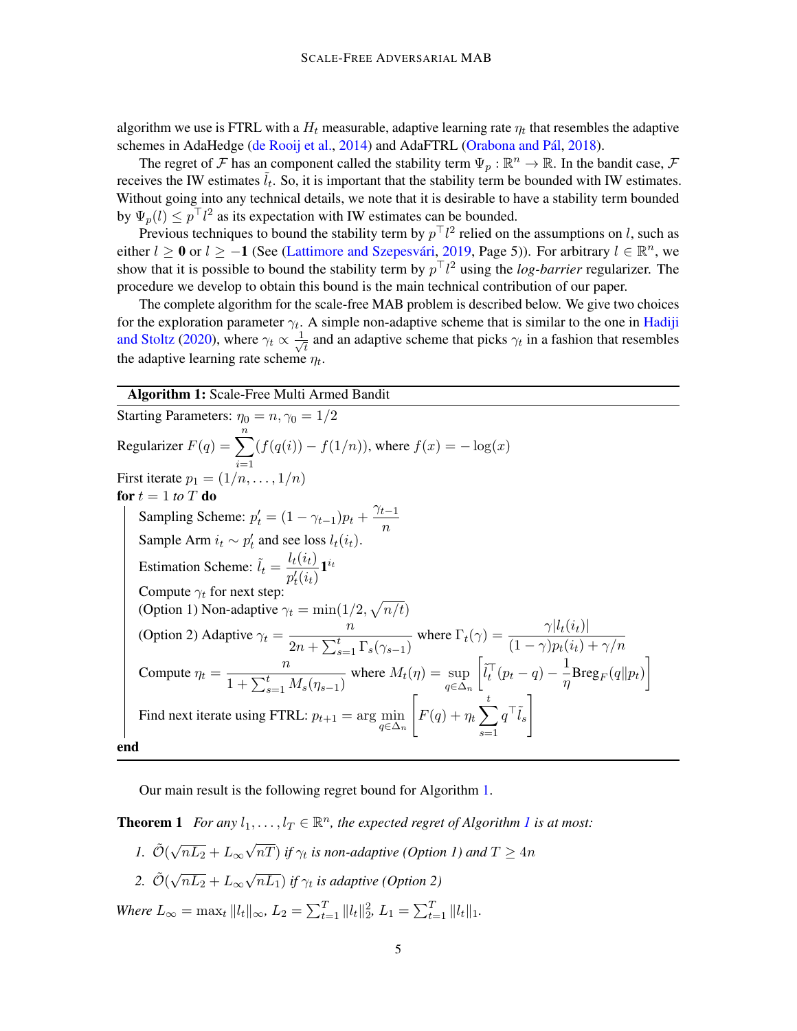algorithm we use is FTRL with a  $H_t$  measurable, adaptive learning rate  $\eta_t$  that resembles the adaptive schemes in AdaHedge [\(de Rooij et al.,](#page-14-0) [2014\)](#page-14-0) and AdaFTRL (Orabona and Pál, [2018\)](#page-15-2).

The regret of F has an component called the stability term  $\Psi_p : \mathbb{R}^n \to \mathbb{R}$ . In the bandit case, F receives the IW estimates  $\tilde{l}_t$ . So, it is important that the stability term be bounded with IW estimates. Without going into any technical details, we note that it is desirable to have a stability term bounded by  $\Psi_p(l) \leq p^{\top}l^2$  as its expectation with IW estimates can be bounded.

Previous techniques to bound the stability term by  $p<sup>T</sup>l<sup>2</sup>$  relied on the assumptions on l, such as either  $l \ge 0$  or  $l \ge -1$  (See (Lattimore and Szepesvári, [2019,](#page-15-9) Page 5)). For arbitrary  $l \in \mathbb{R}^n$ , we show that it is possible to bound the stability term by  $p<sup>T</sup>l<sup>2</sup>$  using the *log-barrier* regularizer. The procedure we develop to obtain this bound is the main technical contribution of our paper.

The complete algorithm for the scale-free MAB problem is described below. We give two choices for the exploration parameter  $\gamma_t$ . A simple non-adaptive scheme that is similar to the one in [Hadiji](#page-14-2) [and Stoltz](#page-14-2) [\(2020\)](#page-14-2), where  $\gamma_t \propto \frac{1}{\sqrt{2}}$  $\frac{1}{t}$  and an adaptive scheme that picks  $\gamma_t$  in a fashion that resembles the adaptive learning rate scheme  $\eta_t$ .

## Algorithm 1: Scale-Free Multi Armed Bandit

<span id="page-4-0"></span>Starting Parameters:  $\eta_0 = n, \gamma_0 = 1/2$ Regularizer  $F(q) = \sum_{n=1}^{n}$  $i=1$  $(f(q(i)) - f(1/n))$ , where  $f(x) = -\log(x)$ First iterate  $p_1 = (1/n, \ldots, 1/n)$ for  $t = 1$  *to*  $T$  do Sampling Scheme:  $p'_t = (1 - \gamma_{t-1})p_t + \frac{\gamma_{t-1}}{n}$ n Sample Arm  $i_t \sim p'_t$  and see loss  $l_t(i_t)$ . Estimation Scheme:  $\tilde{l}_t = \frac{l_t(i_t)}{r_t(i_t)}$  $\frac{\iota_t(\iota_t)}{p'_t(i_t)}1^{i_t}$ Compute  $\gamma_t$  for next step: (Option 1) Non-adaptive  $\gamma_t = \min(1/2, \sqrt{n/t})$ (Option 2) Adaptive  $\gamma_t = \frac{n}{2 + \sum_{k=1}^{t} n_k}$  $2n + \sum_{s=1}^{t} \Gamma_s(\gamma_{s-1})$ where  $\Gamma_t(\gamma) = \frac{\gamma |l_t(i_t)|}{(1 - \gamma)p_t(i_t) + \gamma/n}$ Compute  $\eta_t = \frac{n}{1 + \sum_{k=1}^{t} n_k}$  $\frac{1}{1 + \sum_{s=1}^{t} M_s(\eta_{s-1})}$ where  $M_t(\eta) = \sup$  $q \in \Delta_n$  $\left[\tilde{l}_t^\top (p_t - q) - \frac{1}{n}\right]$  $\frac{1}{\eta} \text{Breg}_F(q||p_t)$ Find next iterate using FTRL:  $p_{t+1} = \arg \min_{q \in \Delta_n}$  $\sqrt{ }$  $F(q) + \eta_t \sum$ t  $s=1$  $q^{\top}\tilde{l}_s$ end

Our main result is the following regret bound for Algorithm [1.](#page-4-0)

<span id="page-4-1"></span>**Theorem [1](#page-4-0)** For any  $l_1, \ldots, l_T \in \mathbb{R}^n$ , the expected regret of Algorithm 1 is at most:

- *1.*  $\tilde{\mathcal{O}}(\sqrt{ }$  $\overline{nL_2} + L_{\infty}$ √  $(nT)$  if  $\gamma_t$  is non-adaptive (Option 1) and  $T\geq 4n$
- 2.  $\tilde{\mathcal{O}}(\sqrt{2})$  $\overline{nL_2} + L_{\infty}$ √  $\overline{nL_1}$ ) if  $\gamma_t$  is adaptive (Option 2)

*Where*  $L_{\infty} = \max_t ||l_t||_{\infty}$ ,  $L_2 = \sum_{t=1}^T ||l_t||_2^2$ ,  $L_1 = \sum_{t=1}^T ||l_t||_1$ .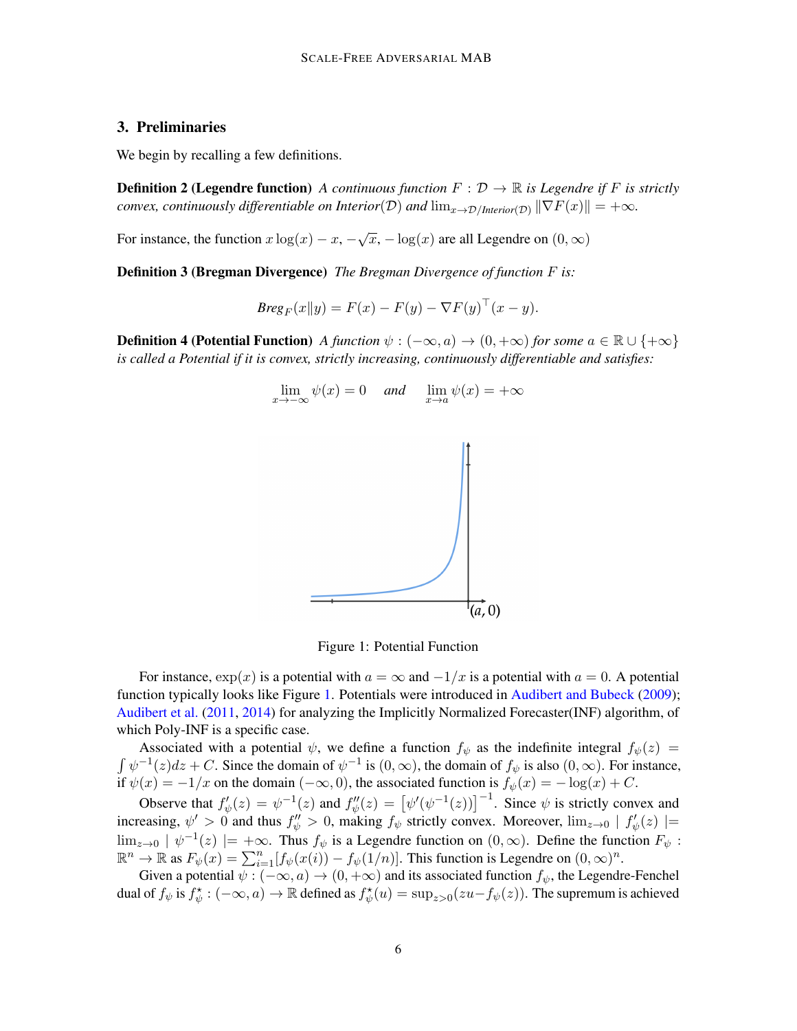# <span id="page-5-0"></span>3. Preliminaries

We begin by recalling a few definitions.

**Definition 2 (Legendre function)** *A continuous function*  $F: \mathcal{D} \to \mathbb{R}$  *is Legendre if* F *is strictly convex, continuously differentiable on Interior*(D) *and*  $\lim_{x\to\mathcal{D}/\text{Interior}(\mathcal{D})} \|\nabla F(x)\| = +\infty$ *.* 

For instance, the function  $x \log(x) - x$ ,  $-\sqrt{x}$ ,  $-\log(x)$  are all Legendre on  $(0, \infty)$ 

Definition 3 (Bregman Divergence) *The Bregman Divergence of function* F *is:*

$$
Breg_F(x||y) = F(x) - F(y) - \nabla F(y)^\top (x - y).
$$

**Definition 4 (Potential Function)** *A function*  $\psi$  :  $(-\infty, a) \rightarrow (0, +\infty)$  *for some*  $a \in \mathbb{R} \cup \{+\infty\}$ *is called a Potential if it is convex, strictly increasing, continuously differentiable and satisfies:*



<span id="page-5-1"></span>Figure 1: Potential Function

For instance,  $\exp(x)$  is a potential with  $a = \infty$  and  $-1/x$  is a potential with  $a = 0$ . A potential function typically looks like Figure [1.](#page-5-1) Potentials were introduced in [Audibert and Bubeck](#page-13-2) [\(2009\)](#page-13-2); [Audibert et al.](#page-13-7) [\(2011,](#page-13-7) [2014\)](#page-13-8) for analyzing the Implicitly Normalized Forecaster(INF) algorithm, of which Poly-INF is a specific case.

Associated with a potential  $\psi$ , we define a function  $f_{\psi}$  as the indefinite integral  $f_{\psi}(z)$  =  $\int \psi^{-1}(z)dz + C$ . Since the domain of  $\psi^{-1}$  is  $(0, \infty)$ , the domain of  $f_{\psi}$  is also  $(0, \infty)$ . For instance, if  $\psi(x) = -1/x$  on the domain  $(-\infty, 0)$ , the associated function is  $f_{\psi}(x) = -\log(x) + C$ .

Observe that  $f'_{\psi}(z) = \psi^{-1}(z)$  and  $f''_{\psi}(z) = [\psi'(\psi^{-1}(z))]^{-1}$ . Since  $\psi$  is strictly convex and increasing,  $\psi' > 0$  and thus  $f''_{\psi} > 0$ , making  $f_{\psi}$  strictly convex. Moreover,  $\lim_{z\to 0} |f'_{\psi}(z)| =$  $\lim_{z\to 0}$   $|\psi^{-1}(z)| = +\infty$ . Thus  $f_{\psi}$  is a Legendre function on  $(0, \infty)$ . Define the function  $F_{\psi}$ :  $\mathbb{R}^n \to \mathbb{R}$  as  $F_{\psi}(x) = \sum_{i=1}^n [f_{\psi}(x(i)) - f_{\psi}(1/n)].$  This function is Legendre on  $(0, \infty)^n$ .

Given a potential  $\psi$  :  $(-\infty, a) \rightarrow (0, +\infty)$  and its associated function  $f_{\psi}$ , the Legendre-Fenchel dual of  $f_{\psi}$  is  $f_{\psi}^{\star}: (-\infty, a) \to \mathbb{R}$  defined as  $f_{\psi}^{\star}(u) = \sup_{z>0}(zu - f_{\psi}(z))$ . The supremum is achieved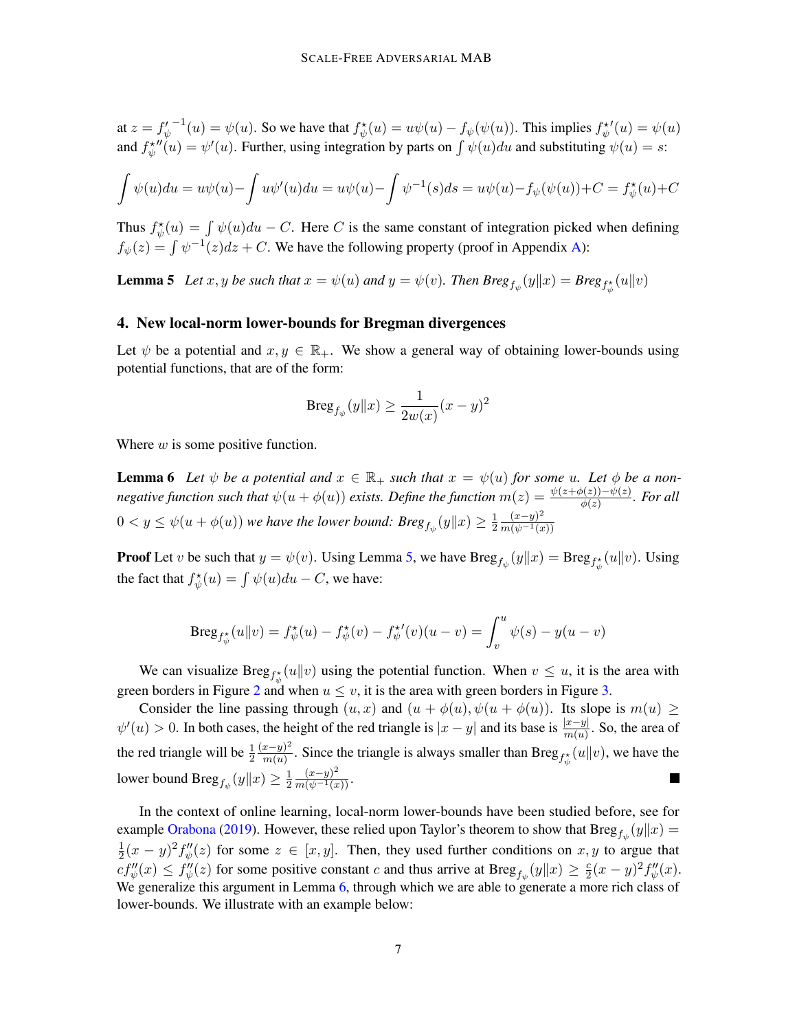at  $z = f'_\psi$  $f^{\dagger}(u) = \psi(u)$ . So we have that  $f^{\dagger}_{\psi}(u) = u\psi(u) - f_{\psi}(\psi(u))$ . This implies  $f^{\dagger}_{\psi}(u) = \psi(u)$ and  $f_{\psi}^{\star \prime \prime}(u) = \psi'(u)$ . Further, using integration by parts on  $\int \psi(u) du$  and substituting  $\psi(u) = s$ :

$$
\int \psi(u) du = u\psi(u) - \int u\psi'(u) du = u\psi(u) - \int \psi^{-1}(s) ds = u\psi(u) - f_{\psi}(\psi(u)) + C = f_{\psi}^{\star}(u) + C
$$

Thus  $f^*_{\psi}(u) = \int \psi(u)du - C$ . Here C is the same constant of integration picked when defining  $f_{\psi}(z) = \int \psi^{-1}(z)dz + C$ . We have the following property (proof in Appendix [A\)](#page-15-10):

<span id="page-6-1"></span>**Lemma 5** Let  $x, y$  be such that  $x = \psi(u)$  and  $y = \psi(v)$ . Then  $Breg_{f_{\psi}}(y||x) = Breg_{f_{\psi}^*}(u||v)$ 

#### <span id="page-6-0"></span>4. New local-norm lower-bounds for Bregman divergences

Let  $\psi$  be a potential and  $x, y \in \mathbb{R}_+$ . We show a general way of obtaining lower-bounds using potential functions, that are of the form:

$$
\mathrm{Breg}_{f_{\psi}}(y||x) \ge \frac{1}{2w(x)}(x-y)^2
$$

<span id="page-6-2"></span>Where  $w$  is some positive function.

**Lemma 6** Let  $\psi$  be a potential and  $x \in \mathbb{R}_+$  such that  $x = \psi(u)$  for some u. Let  $\phi$  be a non*negative function such that*  $\psi(u + \phi(u))$  *exists. Define the function*  $m(z) = \frac{\psi(z + \phi(z)) - \psi(z)}{\phi(z)}$ *. For all*  $0 < y \leq \psi(u + \phi(u))$  we have the lower bound:  $Breg_{f_{\psi}}(y||x) \geq \frac{1}{2}$  $\overline{2}$  $(x-y)^2$  $\overline{m(\psi^{-1}(x))}$ 

**Proof** Let v be such that  $y = \psi(v)$ . Using Lemma [5,](#page-6-1) we have  $Breg_{f_{\psi}}(y||x) = Breg_{f_{\psi}^*}(u||v)$ . Using the fact that  $f^*_{\psi}(u) = \int \psi(u)du - C$ , we have:

Breg<sub>$$
f^*_{\psi}
$$</sub>(u||v) =  $f^*_{\psi}(u) - f^*_{\psi}(v) - f^*_{\psi}(v)(u - v) = \int_v^u \psi(s) - y(u - v)$ 

We can visualize  $Breg_{f^*_{\psi}}(u||v)$  using the potential function. When  $v \leq u$ , it is the area with green borders in Figure [2](#page-7-1) and when  $u \leq v$ , it is the area with green borders in Figure [3.](#page-7-2)

Consider the line passing through  $(u, x)$  and  $(u + \phi(u), \psi(u + \phi(u))$ . Its slope is  $m(u) \ge$  $\psi'(u) > 0$ . In both cases, the height of the red triangle is  $|x-y|$  and its base is  $\frac{|x-y|}{m(u)}$ . So, the area of the red triangle will be  $\frac{1}{2}$  $(x-y)^2$  $\frac{x-y}{m(u)}$ . Since the triangle is always smaller than Breg<sub>f<sup>\*</sup>{i}</sub>(u||v), we have the lower bound  $\text{Breg}_{f_\psi}(y\|x)\geq \frac{1}{2}$ 2  $\frac{(x-y)^2}{m(\psi^{-1}(x))}$ .

<span id="page-6-3"></span>In the context of online learning, local-norm lower-bounds have been studied before, see for example [Orabona](#page-15-8) [\(2019\)](#page-15-8). However, these relied upon Taylor's theorem to show that  $\text{Breg}_{f_{\psi}}(y||x) =$ 1  $\frac{1}{2}(x-y)^2 f''_{\psi}(z)$  for some  $z \in [x, y]$ . Then, they used further conditions on  $x, y$  to argue that  $cf''_{\psi}(x) \leq f''_{\psi}(z)$  for some positive constant c and thus arrive at  $Breg_{f_{\psi}}(y||x) \geq \frac{c}{2}$  $\frac{c}{2}(x-y)^2 f''_{\psi}(x).$ We generalize this argument in Lemma [6,](#page-6-2) through which we are able to generate a more rich class of lower-bounds. We illustrate with an example below: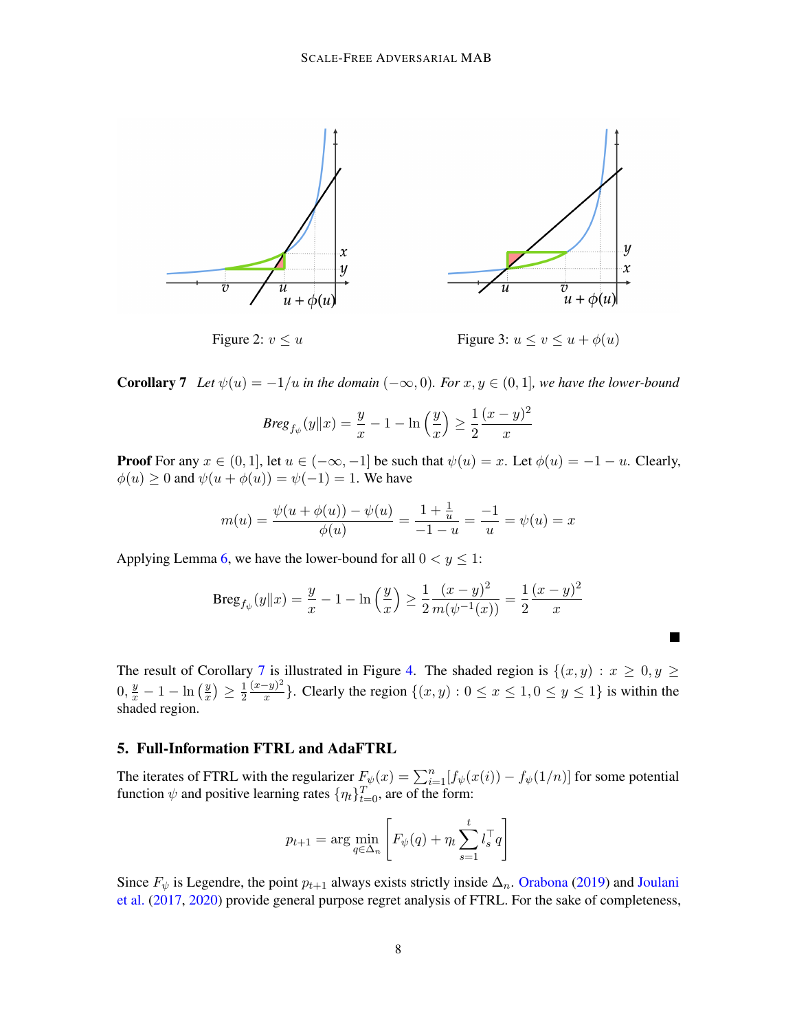

**Corollary 7** Let  $\psi(u) = -1/u$  in the domain  $(-\infty, 0)$ . For  $x, y \in (0, 1]$ , we have the lower-bound

<span id="page-7-2"></span><span id="page-7-1"></span>
$$
Breg_{f_{\psi}}(y||x) = \frac{y}{x} - 1 - \ln\left(\frac{y}{x}\right) \ge \frac{1}{2}\frac{(x-y)^2}{x}
$$

**Proof** For any  $x \in (0, 1]$ , let  $u \in (-\infty, -1]$  be such that  $\psi(u) = x$ . Let  $\phi(u) = -1 - u$ . Clearly,  $\phi(u) \geq 0$  and  $\psi(u + \phi(u)) = \psi(-1) = 1$ . We have

$$
m(u) = \frac{\psi(u + \phi(u)) - \psi(u)}{\phi(u)} = \frac{1 + \frac{1}{u}}{-1 - u} = \frac{-1}{u} = \psi(u) = x
$$

Applying Lemma [6,](#page-6-2) we have the lower-bound for all  $0 < y \le 1$ :

$$
\operatorname{Breg}_{f_{\psi}}(y||x) = \frac{y}{x} - 1 - \ln\left(\frac{y}{x}\right) \ge \frac{1}{2} \frac{(x-y)^2}{m(\psi^{-1}(x))} = \frac{1}{2} \frac{(x-y)^2}{x}
$$

The result of Corollary [7](#page-6-3) is illustrated in Figure [4.](#page-8-1) The shaded region is  $\{(x, y) : x \geq 0, y \geq 0\}$  $0, \frac{y}{x} - 1 - \ln\left(\frac{y}{x}\right)$  $\frac{y}{x}$ )  $\geq \frac{1}{2}$ 2  $(x-y)^2$  $\frac{-y}{x}$ . Clearly the region  $\{(x, y) : 0 \le x \le 1, 0 \le y \le 1\}$  is within the shaded region.

## <span id="page-7-0"></span>5. Full-Information FTRL and AdaFTRL

The iterates of FTRL with the regularizer  $F_{\psi}(x) = \sum_{i=1}^{n} [f_{\psi}(x(i)) - f_{\psi}(1/n)]$  for some potential function  $\psi$  and positive learning rates  $\{\eta_t\}_{t=0}^T$ , are of the form:

$$
p_{t+1} = \arg\min_{q \in \Delta_n} \left[ F_{\psi}(q) + \eta_t \sum_{s=1}^t l_s^{\top} q \right]
$$

Since  $F_{\psi}$  is Legendre, the point  $p_{t+1}$  always exists strictly inside  $\Delta_n$ . [Orabona](#page-15-8) [\(2019\)](#page-15-8) and [Joulani](#page-14-8) [et al.](#page-14-8) [\(2017,](#page-14-8) [2020\)](#page-14-9) provide general purpose regret analysis of FTRL. For the sake of completeness,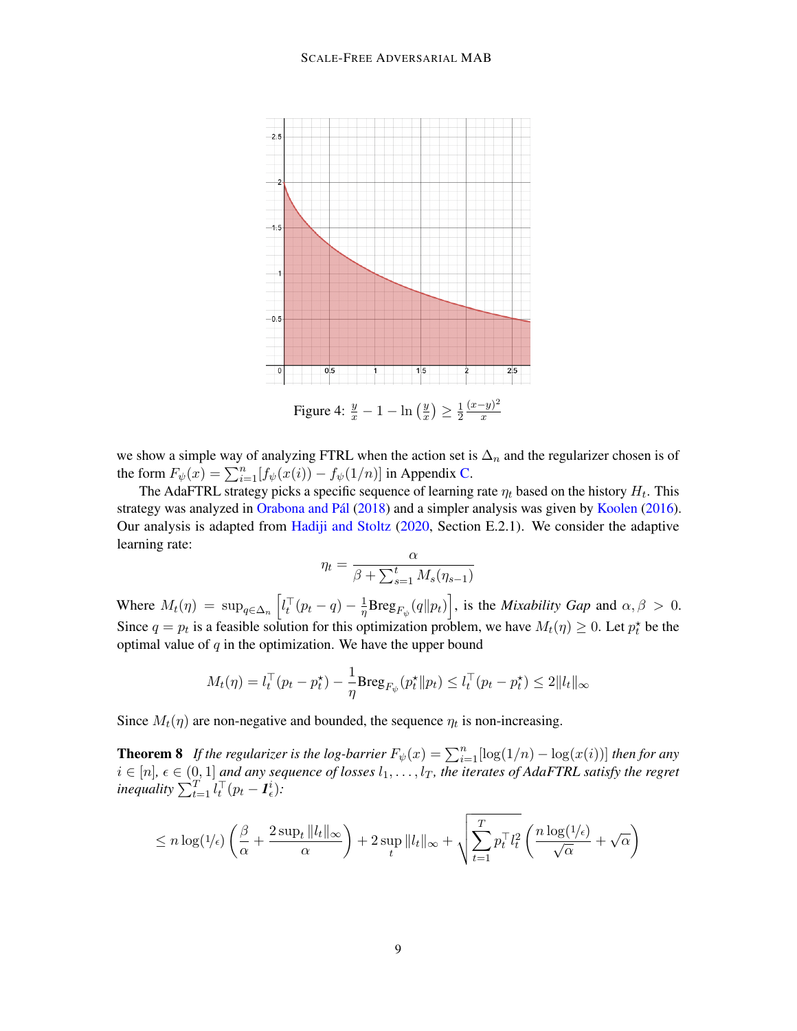

we show a simple way of analyzing FTRL when the action set is  $\Delta_n$  and the regularizer chosen is of the form  $F_{\psi}(x) = \sum_{i=1}^{n} [f_{\psi}(x(i)) - f_{\psi}(1/n)]$  in Appendix [C.](#page-17-0)

The AdaFTRL strategy picks a specific sequence of learning rate  $\eta_t$  based on the history  $H_t$ . This strategy was analyzed in Orabona and Pál [\(2018\)](#page-15-2) and a simpler analysis was given by [Koolen](#page-15-3) [\(2016\)](#page-15-3). Our analysis is adapted from [Hadiji and Stoltz](#page-14-2) [\(2020,](#page-14-2) Section E.2.1). We consider the adaptive learning rate:

<span id="page-8-1"></span>
$$
\eta_t = \frac{\alpha}{\beta + \sum_{s=1}^t M_s(\eta_{s-1})}
$$

Where  $M_t(\eta) = \sup_{q \in \Delta_n} \left[ l_t^{\top} (p_t - q) - \frac{1}{\eta} \right]$  $\frac{1}{\eta} \text{Breg}_{F_{\psi}}(q||p_t)$ , is the *Mixability Gap* and  $\alpha, \beta > 0$ . Since  $q = p_t$  is a feasible solution for this optimization problem, we have  $M_t(\eta) \geq 0$ . Let  $p_t^*$  be the optimal value of  $q$  in the optimization. We have the upper bound

$$
M_t(\eta) = l_t^\top (p_t - p_t^\star) - \frac{1}{\eta} \text{Breg}_{F_\psi}(p_t^\star \| p_t) \leq l_t^\top (p_t - p_t^\star) \leq 2 \|l_t\|_\infty
$$

<span id="page-8-0"></span>Since  $M_t(\eta)$  are non-negative and bounded, the sequence  $\eta_t$  is non-increasing.

**Theorem 8** If the regularizer is the log-barrier  $F_{\psi}(x) = \sum_{i=1}^{n} [\log(1/n) - \log(x(i))]$  then for any  $i \in [n], \epsilon \in (0, 1]$  and any sequence of losses  $l_1, \ldots, l_T$ , the iterates of AdaFTRL satisfy the regret *inequality*  $\sum_{t=1}^{T} l_t^{\top} (p_t - \boldsymbol{I}_{\epsilon}^i)$ *:* 

$$
\leq n\log (1/\epsilon)\left(\frac{\beta}{\alpha}+\frac{2\sup_t\|l_t\|_\infty}{\alpha}\right)+2\sup_t\|l_t\|_\infty+\sqrt{\sum_{t=1}^Tp_t^\top l_t^2}\left(\frac{n\log (1/\epsilon)}{\sqrt{\alpha}}+\sqrt{\alpha}\right)
$$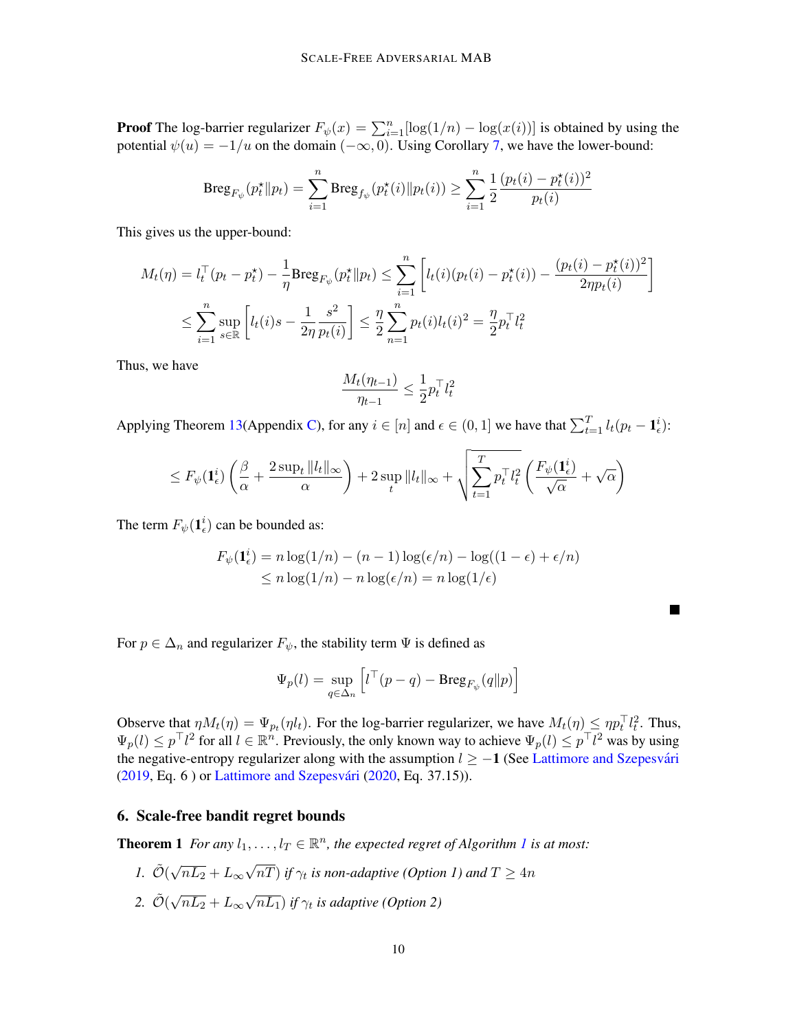**Proof** The log-barrier regularizer  $F_{\psi}(x) = \sum_{i=1}^{n} [\log(1/n) - \log(x(i))]$  is obtained by using the potential  $\psi(u) = -1/u$  on the domain  $(-\infty, 0)$ . Using Corollary [7,](#page-6-3) we have the lower-bound:

$$
\mathrm{Breg}_{F_{\psi}}(p_{t}^{\star} \| p_{t}) = \sum_{i=1}^{n} \mathrm{Breg}_{f_{\psi}}(p_{t}^{\star}(i) \| p_{t}(i)) \geq \sum_{i=1}^{n} \frac{1}{2} \frac{(p_{t}(i) - p_{t}^{\star}(i))^{2}}{p_{t}(i)}
$$

This gives us the upper-bound:

$$
M_t(\eta) = l_t^{\top} (p_t - p_t^{\star}) - \frac{1}{\eta} \text{Breg}_{F_{\psi}}(p_t^{\star} \| p_t) \le \sum_{i=1}^n \left[ l_t(i) (p_t(i) - p_t^{\star}(i)) - \frac{(p_t(i) - p_t^{\star}(i))^2}{2\eta p_t(i)} \right]
$$
  

$$
\le \sum_{i=1}^n \sup_{s \in \mathbb{R}} \left[ l_t(i) s - \frac{1}{2\eta} \frac{s^2}{p_t(i)} \right] \le \frac{\eta}{2} \sum_{n=1}^n p_t(i) l_t(i)^2 = \frac{\eta}{2} p_t^{\top} l_t^2
$$

Thus, we have

$$
\frac{M_t(\eta_{t-1})}{\eta_{t-1}} \le \frac{1}{2} p_t^\top l_t^2
$$

Applying Theorem [13\(](#page-19-0)Appendix [C\)](#page-17-0), for any  $i \in [n]$  and  $\epsilon \in (0, 1]$  we have that  $\sum_{t=1}^{T} l_t(p_t - \mathbf{1}_{\epsilon}^i)$ :

$$
\leq F_{\psi}(\mathbf{1}^i_{\epsilon})\left(\frac{\beta}{\alpha} + \frac{2 \sup_{t} \|l_t\|_{\infty}}{\alpha}\right) + 2 \sup_{t} \|l_t\|_{\infty} + \sqrt{\sum_{t=1}^T p_t^{\top} l_t^2} \left(\frac{F_{\psi}(\mathbf{1}^i_{\epsilon})}{\sqrt{\alpha}} + \sqrt{\alpha}\right)
$$

The term  $F_{\psi}(\mathbf{1}_{\epsilon}^{i})$  can be bounded as:

$$
F_{\psi}(\mathbf{1}_{\epsilon}^{i}) = n \log(1/n) - (n - 1) \log(\epsilon/n) - \log((1 - \epsilon) + \epsilon/n)
$$
  
\$\leq n \log(1/n) - n \log(\epsilon/n) = n \log(1/\epsilon)\$

For  $p \in \Delta_n$  and regularizer  $F_{\psi}$ , the stability term  $\Psi$  is defined as

$$
\Psi_p(l) = \sup_{q \in \Delta_n} \left[ l^\top (p - q) - \text{Breg}_{F_{\psi}}(q || p) \right]
$$

Observe that  $\eta M_t(\eta) = \Psi_{p_t}(\eta l_t)$ . For the log-barrier regularizer, we have  $M_t(\eta) \le \eta p_t^{\top} l_t^2$ . Thus,  $\Psi_p(l) \leq p^{\top}l^2$  for all  $l \in \mathbb{R}^n$ . Previously, the only known way to achieve  $\Psi_p(l) \leq p^{\top}l^2$  was by using the negative-entropy regularizer along with the assumption  $l \geq -1$  (See Lattimore and Szepesvári [\(2019,](#page-15-9) Eq. 6) or Lattimore and Szepesvári [\(2020,](#page-15-0) Eq. 37.15)).

# <span id="page-9-0"></span>6. Scale-free bandit regret bounds

**Theorem [1](#page-4-0)** For any  $l_1, \ldots, l_T \in \mathbb{R}^n$ , the expected regret of Algorithm 1 is at most:

- *1.*  $\tilde{\mathcal{O}}(\sqrt{ }$  $\overline{nL_2} + L_{\infty}$ √  $(nT)$  if  $\gamma_t$  is non-adaptive (Option 1) and  $T\geq 4n$
- 2.  $\tilde{\mathcal{O}}(\sqrt{2})$  $\overline{nL_2} + L_{\infty}$ √  $\overline{nL_1}$ ) if  $\gamma_t$  is adaptive (Option 2)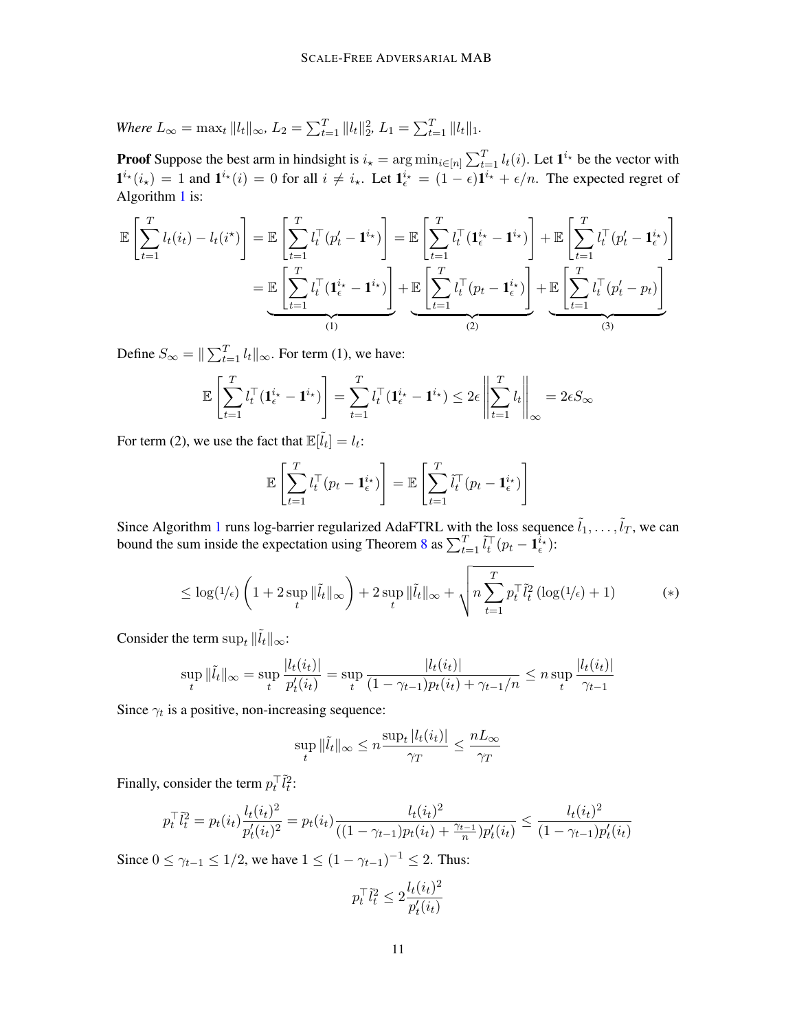Where 
$$
L_{\infty} = \max_t ||l_t||_{\infty}
$$
,  $L_2 = \sum_{t=1}^T ||l_t||_2^2$ ,  $L_1 = \sum_{t=1}^T ||l_t||_1$ .

**Proof** Suppose the best arm in hindsight is  $i_\star = \arg \min_{i \in [n]} \sum_{t=1}^T l_i(i)$ . Let  $\mathbf{1}^{i_\star}$  be the vector with  $\mathbf{1}^{i_\star}(i_\star) = 1$  and  $\mathbf{1}^{i_\star}(i) = 0$  for all  $i \neq i_\star$ . Let  $\mathbf{1}_{\epsilon}^{i_\star} = (1 - \epsilon)\mathbf{1}^{i_\star} + \epsilon/n$ . The expected regret of Algorithm [1](#page-4-0) is:

$$
\mathbb{E}\left[\sum_{t=1}^{T} l_t(i_t) - l_t(i^{\star})\right] = \mathbb{E}\left[\sum_{t=1}^{T} l_t^{\top} (p'_t - \mathbf{1}^{i_{\star}})\right] = \mathbb{E}\left[\sum_{t=1}^{T} l_t^{\top} (\mathbf{1}_{\epsilon}^{i_{\star}} - \mathbf{1}^{i_{\star}})\right] + \mathbb{E}\left[\sum_{t=1}^{T} l_t^{\top} (p'_t - \mathbf{1}_{\epsilon}^{i_{\star}})\right]
$$
\n
$$
= \underbrace{\mathbb{E}\left[\sum_{t=1}^{T} l_t^{\top} (\mathbf{1}_{\epsilon}^{i_{\star}} - \mathbf{1}^{i_{\star}})\right]}_{(1)} + \underbrace{\mathbb{E}\left[\sum_{t=1}^{T} l_t^{\top} (p_t - \mathbf{1}_{\epsilon}^{i_{\star}})\right]}_{(2)} + \underbrace{\mathbb{E}\left[\sum_{t=1}^{T} l_t^{\top} (p'_t - p_t)\right]}_{(3)}
$$

Define  $S_{\infty} = ||\sum_{t=1}^{T} l_t ||_{\infty}$ . For term (1), we have:

$$
\mathbb{E}\left[\sum_{t=1}^T l_t^\top (\mathbf{1}_{\epsilon}^{i_\star} - \mathbf{1}^{i_\star})\right] = \sum_{t=1}^T l_t^\top (\mathbf{1}_{\epsilon}^{i_\star} - \mathbf{1}^{i_\star}) \le 2\epsilon \left\|\sum_{t=1}^T l_t\right\|_{\infty} = 2\epsilon S_{\infty}
$$

For term (2), we use the fact that  $\mathbb{E}[l_t] = l_t$ :

$$
\mathbb{E}\left[\sum_{t=1}^T l_t^\top (p_t - \mathbf{1}_{\epsilon}^{i_\star})\right] = \mathbb{E}\left[\sum_{t=1}^T \tilde{l}_t^\top (p_t - \mathbf{1}_{\epsilon}^{i_\star})\right]
$$

Since Algorithm [1](#page-4-0) runs log-barrier regularized AdaFTRL with the loss sequence  $\tilde{l}_1, \ldots, \tilde{l}_T$ , we can bound the sum inside the expectation using Theorem [8](#page-8-0) as  $\sum_{t=1}^{T} \tilde{l}_{t}^{T} (p_{t} - \mathbf{1}_{\epsilon}^{\tilde{i}_{\star}})$ :

$$
\leq \log(1/\epsilon) \left( 1 + 2 \sup_{t} \|\tilde{l}_t\|_{\infty} \right) + 2 \sup_{t} \|\tilde{l}_t\|_{\infty} + \sqrt{n \sum_{t=1}^{T} p_t^{\top} \tilde{l}_t^2} \left( \log(1/\epsilon) + 1 \right) \tag{*}
$$

Consider the term  $\sup_t \|\tilde{l}_t\|_{\infty}$ :

$$
\sup_{t} \|\tilde{l}_{t}\|_{\infty} = \sup_{t} \frac{|l_{t}(i_{t})|}{p_{t}'(i_{t})} = \sup_{t} \frac{|l_{t}(i_{t})|}{(1 - \gamma_{t-1})p_{t}(i_{t}) + \gamma_{t-1}/n} \le n \sup_{t} \frac{|l_{t}(i_{t})|}{\gamma_{t-1}}
$$

Since  $\gamma_t$  is a positive, non-increasing sequence:

$$
\sup_{t} \|\tilde{l}_{t}\|_{\infty} \leq n \frac{\sup_{t} |l_{t}(i_{t})|}{\gamma_{T}} \leq \frac{nL_{\infty}}{\gamma_{T}}
$$

Finally, consider the term  $p_t^\top \tilde{l}_t^2$ :

$$
p_t^\top \tilde{l}_t^2 = p_t(i_t) \frac{l_t(i_t)^2}{p_t'(i_t)^2} = p_t(i_t) \frac{l_t(i_t)^2}{((1 - \gamma_{t-1})p_t(i_t) + \frac{\gamma_{t-1}}{n})p_t'(i_t)} \le \frac{l_t(i_t)^2}{(1 - \gamma_{t-1})p_t'(i_t)}
$$

Since  $0 \leq \gamma_{t-1} \leq 1/2$ , we have  $1 \leq (1 - \gamma_{t-1})^{-1} \leq 2$ . Thus:

$$
p_t^\top \tilde{l}_t^2 \le 2 \frac{l_t(i_t)^2}{p_t'(i_t)}
$$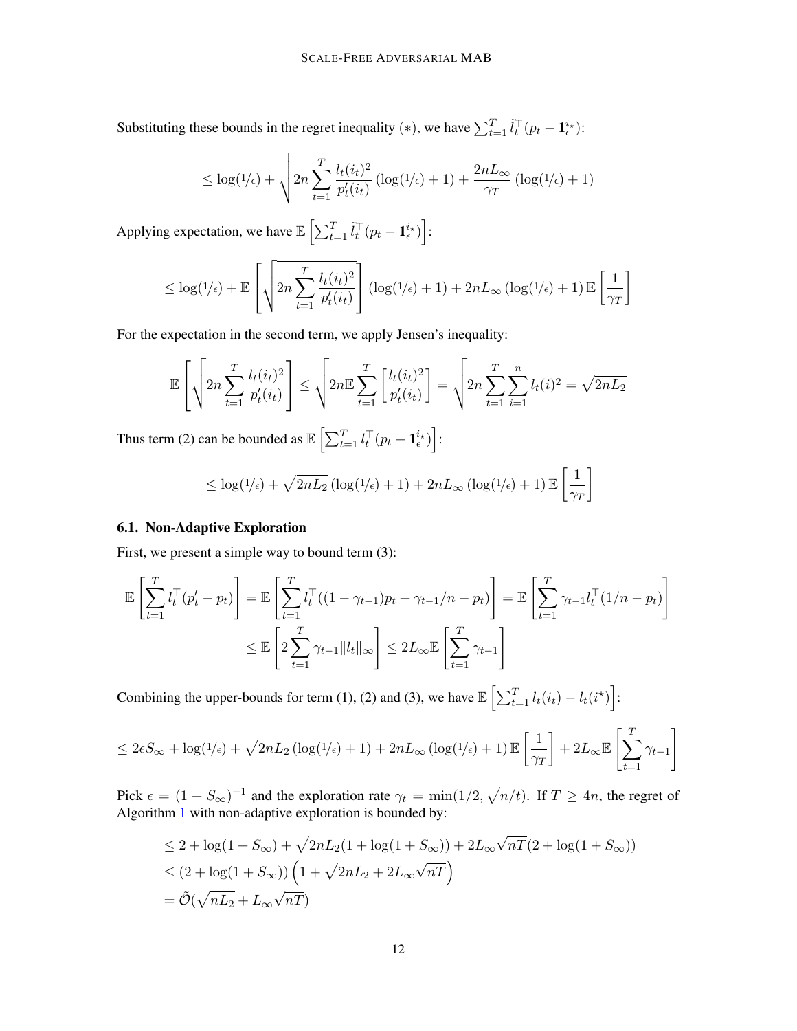Substituting these bounds in the regret inequality (\*), we have  $\sum_{t=1}^T \tilde{l}_t^{\top} (p_t - \mathbf{1}_{\epsilon}^{i_{\star}})$ :

$$
\leq \log(1/\epsilon) + \sqrt{2n \sum_{t=1}^{T} \frac{l_t(i_t)^2}{p'_t(i_t)}} \left( \log(1/\epsilon) + 1 \right) + \frac{2nL_{\infty}}{\gamma_T} \left( \log(1/\epsilon) + 1 \right)
$$

Applying expectation, we have  $\mathbb{E}\left[\sum_{t=1}^T \tilde{l}_t^\top (p_t - \mathbf{1}_{\epsilon}^{i_{\star}})\right]$ :

$$
\leq \log(1/\epsilon) + \mathbb{E}\left[\sqrt{2n\sum_{t=1}^T \frac{l_t(i_t)^2}{p'_t(i_t)}}\right] (\log(1/\epsilon) + 1) + 2nL_{\infty} (\log(1/\epsilon) + 1) \mathbb{E}\left[\frac{1}{\gamma_T}\right]
$$

For the expectation in the second term, we apply Jensen's inequality:

$$
\mathbb{E}\left[\sqrt{2n\sum_{t=1}^{T}\frac{l_t(i_t)^2}{p'_t(i_t)}}\right] \leq \sqrt{2n\mathbb{E}\sum_{t=1}^{T}\left[\frac{l_t(i_t)^2}{p'_t(i_t)}\right]} = \sqrt{2n\sum_{t=1}^{T}\sum_{i=1}^{n}l_t(i)^2} = \sqrt{2nL_2}
$$

Thus term (2) can be bounded as  $\mathbb{E}\left[\sum_{t=1}^T l_t^\top (p_t - \mathbf{1}_{\epsilon}^{i_\star})\right]$ :

$$
\leq \log(1/\epsilon) + \sqrt{2nL_2} \left( \log(1/\epsilon) + 1 \right) + 2nL_{\infty} \left( \log(1/\epsilon) + 1 \right) \mathbb{E}\left[\frac{1}{\gamma_T}\right]
$$

#### 6.1. Non-Adaptive Exploration

First, we present a simple way to bound term  $(3)$ :

$$
\mathbb{E}\left[\sum_{t=1}^T l_t^\top (p'_t - p_t)\right] = \mathbb{E}\left[\sum_{t=1}^T l_t^\top ((1 - \gamma_{t-1})p_t + \gamma_{t-1}/n - p_t)\right] = \mathbb{E}\left[\sum_{t=1}^T \gamma_{t-1} l_t^\top (1/n - p_t)\right]
$$

$$
\leq \mathbb{E}\left[2\sum_{t=1}^T \gamma_{t-1} ||l_t||_\infty\right] \leq 2L_\infty \mathbb{E}\left[\sum_{t=1}^T \gamma_{t-1}\right]
$$

Combining the upper-bounds for term (1), (2) and (3), we have  $\mathbb{E}\left[\sum_{t=1}^T l_t(i_t) - l_t(i^*)\right]$ :

$$
\leq 2\epsilon S_{\infty} + \log(1/\epsilon) + \sqrt{2nL_2} \left( \log(1/\epsilon) + 1 \right) + 2nL_{\infty} \left( \log(1/\epsilon) + 1 \right) \mathbb{E}\left[\frac{1}{\gamma_T}\right] + 2L_{\infty} \mathbb{E}\left[\sum_{t=1}^T \gamma_{t-1}\right]
$$

Pick  $\epsilon = (1 + S_{\infty})^{-1}$  and the exploration rate  $\gamma_t = \min(1/2, \sqrt{n/t})$ . If  $T \ge 4n$ , the regret of Algorithm [1](#page-4-0) with non-adaptive exploration is bounded by:

$$
\leq 2 + \log(1 + S_{\infty}) + \sqrt{2nL_2}(1 + \log(1 + S_{\infty})) + 2L_{\infty}\sqrt{n}\overline{T}(2 + \log(1 + S_{\infty}))
$$
  

$$
\leq (2 + \log(1 + S_{\infty})) \left(1 + \sqrt{2nL_2} + 2L_{\infty}\sqrt{n}\overline{T}\right)
$$
  

$$
= \tilde{O}(\sqrt{nL_2} + L_{\infty}\sqrt{n}\overline{T})
$$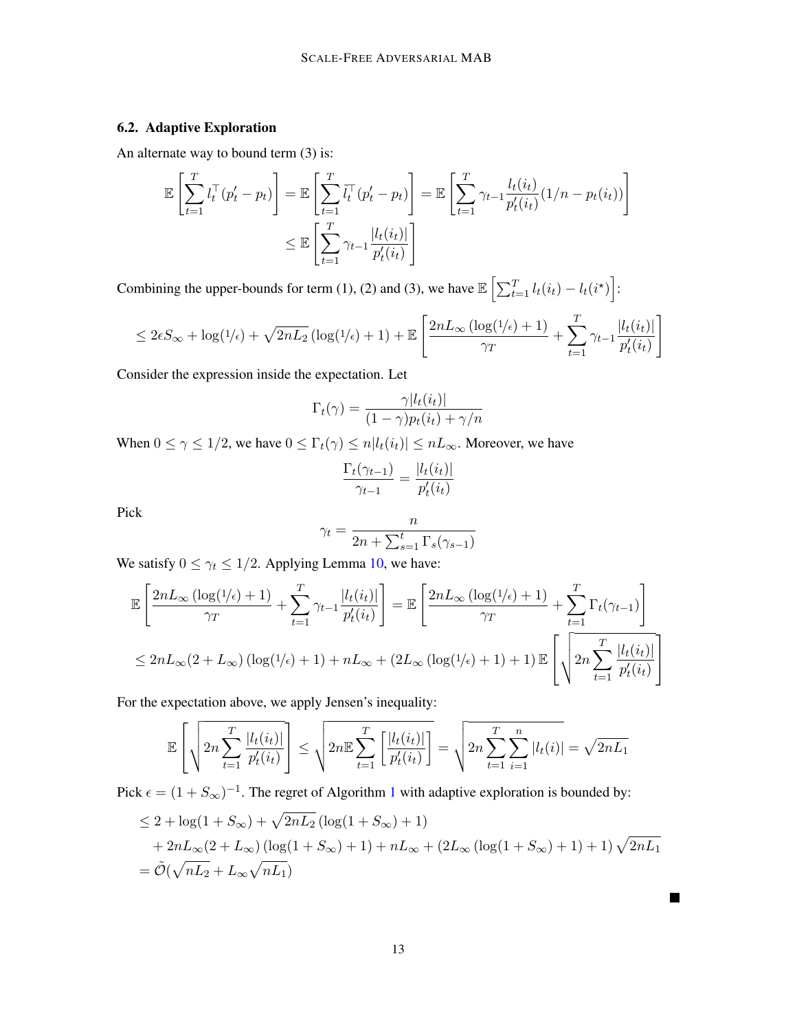# 6.2. Adaptive Exploration

An alternate way to bound term (3) is:

$$
\mathbb{E}\left[\sum_{t=1}^T l_t^\top (p_t' - p_t)\right] = \mathbb{E}\left[\sum_{t=1}^T \tilde{l}_t^\top (p_t' - p_t)\right] = \mathbb{E}\left[\sum_{t=1}^T \gamma_{t-1} \frac{l_t(i_t)}{p_t'(i_t)} (1/n - p_t(i_t))\right]
$$

$$
\leq \mathbb{E}\left[\sum_{t=1}^T \gamma_{t-1} \frac{|l_t(i_t)|}{p_t'(i_t)}\right]
$$

Combining the upper-bounds for term (1), (2) and (3), we have  $\mathbb{E}\left[\sum_{t=1}^T l_t(i_t) - l_t(i^*)\right]$ :

$$
\leq 2\epsilon S_{\infty} + \log(1/\epsilon) + \sqrt{2nL_2} \left( \log(1/\epsilon) + 1 \right) + \mathbb{E}\left[ \frac{2nL_{\infty}\left(\log(1/\epsilon) + 1\right)}{\gamma_T} + \sum_{t=1}^T \gamma_{t-1} \frac{|l_t(i_t)|}{p'_t(i_t)} \right]
$$

Consider the expression inside the expectation. Let

$$
\Gamma_t(\gamma) = \frac{\gamma |l_t(i_t)|}{(1 - \gamma)p_t(i_t) + \gamma/n}
$$

When  $0 \le \gamma \le 1/2$ , we have  $0 \le \Gamma_t(\gamma) \le n|l_t(i_t)| \le nL_\infty$ . Moreover, we have

$$
\frac{\Gamma_t(\gamma_{t-1})}{\gamma_{t-1}} = \frac{|l_t(i_t)|}{p'_t(i_t)}
$$

Pick

$$
\gamma_t = \frac{n}{2n + \sum_{s=1}^t \Gamma_s(\gamma_{s-1})}
$$

We satisfy  $0 \leq \gamma_t \leq 1/2$ . Applying Lemma [10,](#page-16-0) we have:

$$
\mathbb{E}\left[\frac{2nL_{\infty}\left(\log(1/\epsilon)+1\right)}{\gamma_{T}}+\sum_{t=1}^{T}\gamma_{t-1}\frac{|l_{t}(i_{t})|}{p_{t}'(i_{t})}\right]=\mathbb{E}\left[\frac{2nL_{\infty}\left(\log(1/\epsilon)+1\right)}{\gamma_{T}}+\sum_{t=1}^{T}\Gamma_{t}(\gamma_{t-1})\right]
$$

$$
\leq 2nL_{\infty}(2+L_{\infty})\left(\log(1/\epsilon)+1\right)+nL_{\infty}+(2L_{\infty}\left(\log(1/\epsilon)+1\right)+1)\mathbb{E}\left[\sqrt{2n\sum_{t=1}^{T}\frac{|l_{t}(i_{t})|}{p_{t}'(i_{t})}}\right]
$$

For the expectation above, we apply Jensen's inequality:

$$
\mathbb{E}\left[\sqrt{2n\sum_{t=1}^T\frac{|l_t(i_t)|}{p'_t(i_t)}}\right] \leq \sqrt{2n\mathbb{E}\sum_{t=1}^T\left[\frac{|l_t(i_t)|}{p'_t(i_t)}\right]} = \sqrt{2n\sum_{t=1}^T\sum_{i=1}^n|l_t(i)|} = \sqrt{2nL_1}
$$

Pick  $\epsilon = (1 + S_{\infty})^{-1}$  $\epsilon = (1 + S_{\infty})^{-1}$  $\epsilon = (1 + S_{\infty})^{-1}$ . The regret of Algorithm 1 with adaptive exploration is bounded by:

$$
\leq 2 + \log(1 + S_{\infty}) + \sqrt{2nL_2} (\log(1 + S_{\infty}) + 1)
$$
  
+  $2nL_{\infty}(2 + L_{\infty}) (\log(1 + S_{\infty}) + 1) + nL_{\infty} + (2L_{\infty} (\log(1 + S_{\infty}) + 1) + 1) \sqrt{2nL_1}$   
=  $\tilde{\mathcal{O}}(\sqrt{nL_2} + L_{\infty} \sqrt{nL_1})$ 

 $\blacksquare$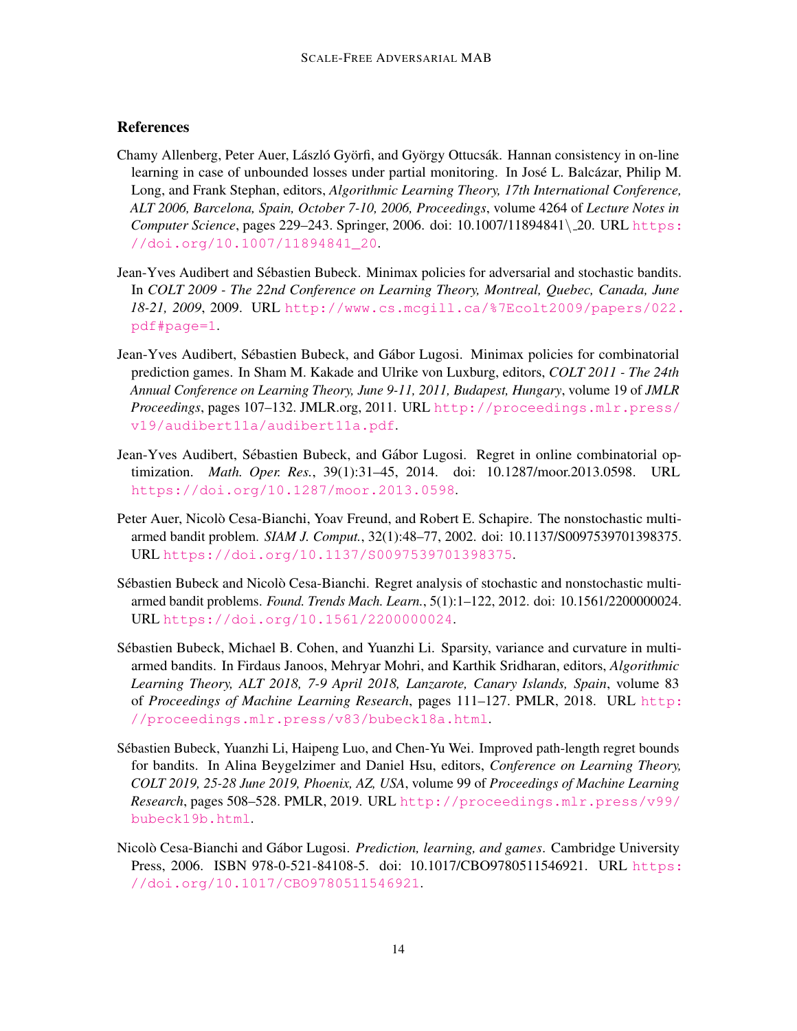# **References**

- <span id="page-13-3"></span>Chamy Allenberg, Peter Auer, László Györfi, and György Ottucsák. Hannan consistency in on-line learning in case of unbounded losses under partial monitoring. In José L. Balcázar, Philip M. Long, and Frank Stephan, editors, *Algorithmic Learning Theory, 17th International Conference, ALT 2006, Barcelona, Spain, October 7-10, 2006, Proceedings*, volume 4264 of *Lecture Notes in Computer Science*, pages 229–243. Springer, 2006. doi: 10.1007/11894841\ 20. URL [https:](https://doi.org/10.1007/11894841_20) [//doi.org/10.1007/11894841\\_20](https://doi.org/10.1007/11894841_20).
- <span id="page-13-2"></span>Jean-Yves Audibert and Sebastien Bubeck. Minimax policies for adversarial and stochastic bandits. ´ In *COLT 2009 - The 22nd Conference on Learning Theory, Montreal, Quebec, Canada, June 18-21, 2009*, 2009. URL [http://www.cs.mcgill.ca/%7Ecolt2009/papers/022.](http://www.cs.mcgill.ca/%7Ecolt2009/papers/022.pdf#page=1) [pdf#page=1](http://www.cs.mcgill.ca/%7Ecolt2009/papers/022.pdf#page=1).
- <span id="page-13-7"></span>Jean-Yves Audibert, Sébastien Bubeck, and Gábor Lugosi. Minimax policies for combinatorial prediction games. In Sham M. Kakade and Ulrike von Luxburg, editors, *COLT 2011 - The 24th Annual Conference on Learning Theory, June 9-11, 2011, Budapest, Hungary*, volume 19 of *JMLR Proceedings*, pages 107–132. JMLR.org, 2011. URL [http://proceedings.mlr.press/](http://proceedings.mlr.press/v19/audibert11a/audibert11a.pdf) [v19/audibert11a/audibert11a.pdf](http://proceedings.mlr.press/v19/audibert11a/audibert11a.pdf).
- <span id="page-13-8"></span>Jean-Yves Audibert, Sébastien Bubeck, and Gábor Lugosi. Regret in online combinatorial optimization. *Math. Oper. Res.*, 39(1):31–45, 2014. doi: 10.1287/moor.2013.0598. URL <https://doi.org/10.1287/moor.2013.0598>.
- <span id="page-13-1"></span>Peter Auer, Nicolò Cesa-Bianchi, Yoav Freund, and Robert E. Schapire. The nonstochastic multiarmed bandit problem. *SIAM J. Comput.*, 32(1):48–77, 2002. doi: 10.1137/S0097539701398375. URL <https://doi.org/10.1137/S0097539701398375>.
- <span id="page-13-0"></span>Sébastien Bubeck and Nicolò Cesa-Bianchi. Regret analysis of stochastic and nonstochastic multiarmed bandit problems. *Found. Trends Mach. Learn.*, 5(1):1–122, 2012. doi: 10.1561/2200000024. URL <https://doi.org/10.1561/2200000024>.
- <span id="page-13-4"></span>Sebastien Bubeck, Michael B. Cohen, and Yuanzhi Li. Sparsity, variance and curvature in multi- ´ armed bandits. In Firdaus Janoos, Mehryar Mohri, and Karthik Sridharan, editors, *Algorithmic Learning Theory, ALT 2018, 7-9 April 2018, Lanzarote, Canary Islands, Spain*, volume 83 of *Proceedings of Machine Learning Research*, pages 111–127. PMLR, 2018. URL [http:](http://proceedings.mlr.press/v83/bubeck18a.html) [//proceedings.mlr.press/v83/bubeck18a.html](http://proceedings.mlr.press/v83/bubeck18a.html).
- <span id="page-13-5"></span>Sebastien Bubeck, Yuanzhi Li, Haipeng Luo, and Chen-Yu Wei. Improved path-length regret bounds ´ for bandits. In Alina Beygelzimer and Daniel Hsu, editors, *Conference on Learning Theory, COLT 2019, 25-28 June 2019, Phoenix, AZ, USA*, volume 99 of *Proceedings of Machine Learning Research*, pages 508–528. PMLR, 2019. URL [http://proceedings.mlr.press/v99/](http://proceedings.mlr.press/v99/bubeck19b.html) [bubeck19b.html](http://proceedings.mlr.press/v99/bubeck19b.html).
- <span id="page-13-6"></span>Nicolò Cesa-Bianchi and Gábor Lugosi. *Prediction, learning, and games*. Cambridge University Press, 2006. ISBN 978-0-521-84108-5. doi: 10.1017/CBO9780511546921. URL [https:](https://doi.org/10.1017/CBO9780511546921) [//doi.org/10.1017/CBO9780511546921](https://doi.org/10.1017/CBO9780511546921).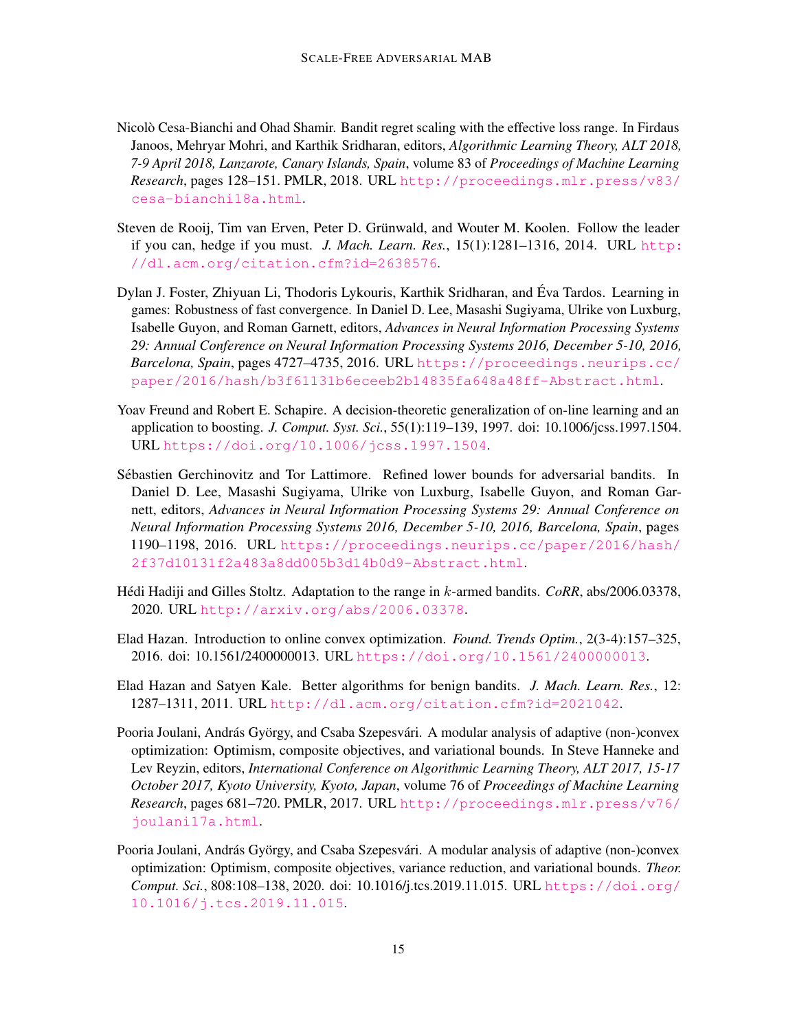- <span id="page-14-6"></span>Nicolò Cesa-Bianchi and Ohad Shamir. Bandit regret scaling with the effective loss range. In Firdaus Janoos, Mehryar Mohri, and Karthik Sridharan, editors, *Algorithmic Learning Theory, ALT 2018, 7-9 April 2018, Lanzarote, Canary Islands, Spain*, volume 83 of *Proceedings of Machine Learning Research*, pages 128–151. PMLR, 2018. URL [http://proceedings.mlr.press/v83/](http://proceedings.mlr.press/v83/cesa-bianchi18a.html) [cesa-bianchi18a.html](http://proceedings.mlr.press/v83/cesa-bianchi18a.html).
- <span id="page-14-0"></span>Steven de Rooij, Tim van Erven, Peter D. Grünwald, and Wouter M. Koolen. Follow the leader if you can, hedge if you must. *J. Mach. Learn. Res.*, 15(1):1281–1316, 2014. URL [http:](http://dl.acm.org/citation.cfm?id=2638576) [//dl.acm.org/citation.cfm?id=2638576](http://dl.acm.org/citation.cfm?id=2638576).
- <span id="page-14-3"></span>Dylan J. Foster, Zhiyuan Li, Thodoris Lykouris, Karthik Sridharan, and Eva Tardos. Learning in ´ games: Robustness of fast convergence. In Daniel D. Lee, Masashi Sugiyama, Ulrike von Luxburg, Isabelle Guyon, and Roman Garnett, editors, *Advances in Neural Information Processing Systems 29: Annual Conference on Neural Information Processing Systems 2016, December 5-10, 2016, Barcelona, Spain*, pages 4727–4735, 2016. URL [https://proceedings.neurips.cc/](https://proceedings.neurips.cc/paper/2016/hash/b3f61131b6eceeb2b14835fa648a48ff-Abstract.html) [paper/2016/hash/b3f61131b6eceeb2b14835fa648a48ff-Abstract.html](https://proceedings.neurips.cc/paper/2016/hash/b3f61131b6eceeb2b14835fa648a48ff-Abstract.html).
- <span id="page-14-1"></span>Yoav Freund and Robert E. Schapire. A decision-theoretic generalization of on-line learning and an application to boosting. *J. Comput. Syst. Sci.*, 55(1):119–139, 1997. doi: 10.1006/jcss.1997.1504. URL <https://doi.org/10.1006/jcss.1997.1504>.
- <span id="page-14-5"></span>Sebastien Gerchinovitz and Tor Lattimore. Refined lower bounds for adversarial bandits. In ´ Daniel D. Lee, Masashi Sugiyama, Ulrike von Luxburg, Isabelle Guyon, and Roman Garnett, editors, *Advances in Neural Information Processing Systems 29: Annual Conference on Neural Information Processing Systems 2016, December 5-10, 2016, Barcelona, Spain*, pages 1190–1198, 2016. URL [https://proceedings.neurips.cc/paper/2016/hash/](https://proceedings.neurips.cc/paper/2016/hash/2f37d10131f2a483a8dd005b3d14b0d9-Abstract.html) [2f37d10131f2a483a8dd005b3d14b0d9-Abstract.html](https://proceedings.neurips.cc/paper/2016/hash/2f37d10131f2a483a8dd005b3d14b0d9-Abstract.html).
- <span id="page-14-2"></span>Hédi Hadiji and Gilles Stoltz. Adaptation to the range in k-armed bandits. *CoRR*, abs/2006.03378, 2020. URL <http://arxiv.org/abs/2006.03378>.
- <span id="page-14-7"></span>Elad Hazan. Introduction to online convex optimization. *Found. Trends Optim.*, 2(3-4):157–325, 2016. doi: 10.1561/2400000013. URL <https://doi.org/10.1561/2400000013>.
- <span id="page-14-4"></span>Elad Hazan and Satyen Kale. Better algorithms for benign bandits. *J. Mach. Learn. Res.*, 12: 1287–1311, 2011. URL <http://dl.acm.org/citation.cfm?id=2021042>.
- <span id="page-14-8"></span>Pooria Joulani, András György, and Csaba Szepesvári. A modular analysis of adaptive (non-)convex optimization: Optimism, composite objectives, and variational bounds. In Steve Hanneke and Lev Reyzin, editors, *International Conference on Algorithmic Learning Theory, ALT 2017, 15-17 October 2017, Kyoto University, Kyoto, Japan*, volume 76 of *Proceedings of Machine Learning Research*, pages 681–720. PMLR, 2017. URL [http://proceedings.mlr.press/v76/](http://proceedings.mlr.press/v76/joulani17a.html) [joulani17a.html](http://proceedings.mlr.press/v76/joulani17a.html).
- <span id="page-14-9"></span>Pooria Joulani, András György, and Csaba Szepesvári. A modular analysis of adaptive (non-)convex optimization: Optimism, composite objectives, variance reduction, and variational bounds. *Theor. Comput. Sci.*, 808:108–138, 2020. doi: 10.1016/j.tcs.2019.11.015. URL [https://doi.org/](https://doi.org/10.1016/j.tcs.2019.11.015) [10.1016/j.tcs.2019.11.015](https://doi.org/10.1016/j.tcs.2019.11.015).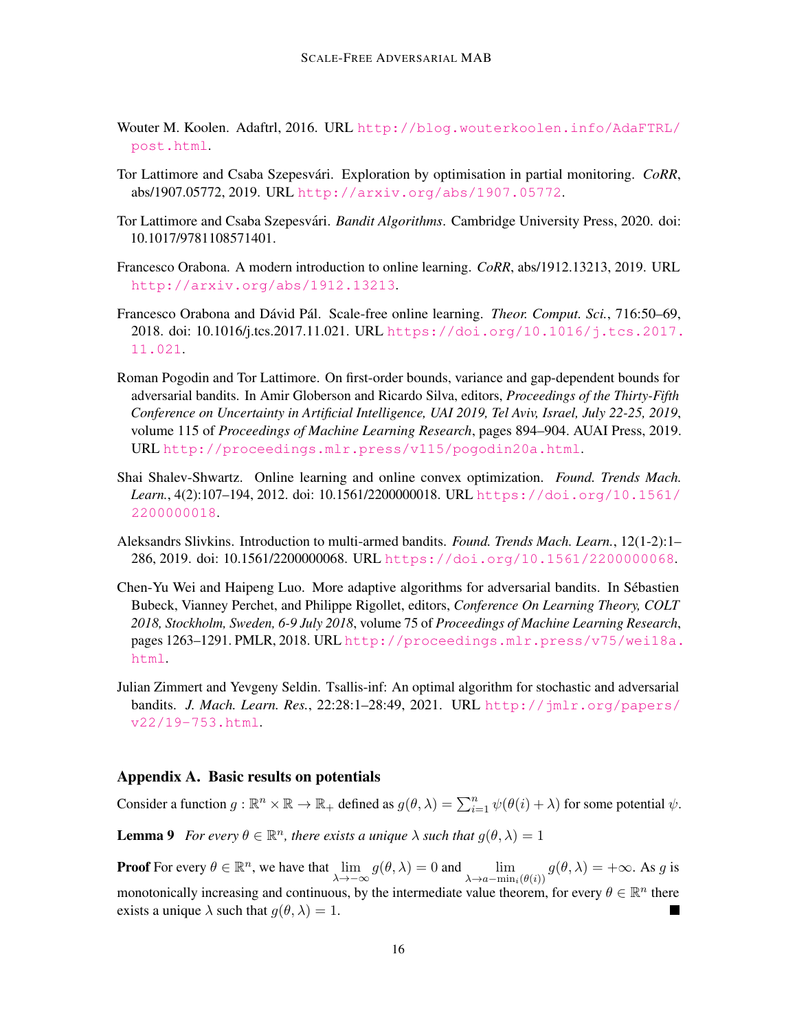- <span id="page-15-3"></span>Wouter M. Koolen. Adaftrl, 2016. URL [http://blog.wouterkoolen.info/AdaFTRL/](http://blog.wouterkoolen.info/AdaFTRL/post.html) [post.html](http://blog.wouterkoolen.info/AdaFTRL/post.html).
- <span id="page-15-9"></span>Tor Lattimore and Csaba Szepesvári. Exploration by optimisation in partial monitoring. *CoRR*, abs/1907.05772, 2019. URL <http://arxiv.org/abs/1907.05772>.
- <span id="page-15-0"></span>Tor Lattimore and Csaba Szepesvári. Bandit Algorithms. Cambridge University Press, 2020. doi: 10.1017/9781108571401.
- <span id="page-15-8"></span>Francesco Orabona. A modern introduction to online learning. *CoRR*, abs/1912.13213, 2019. URL <http://arxiv.org/abs/1912.13213>.
- <span id="page-15-2"></span>Francesco Orabona and Dávid Pál. Scale-free online learning. *Theor. Comput. Sci.*, 716:50–69, 2018. doi: 10.1016/j.tcs.2017.11.021. URL [https://doi.org/10.1016/j.tcs.2017.](https://doi.org/10.1016/j.tcs.2017.11.021) [11.021](https://doi.org/10.1016/j.tcs.2017.11.021).
- <span id="page-15-4"></span>Roman Pogodin and Tor Lattimore. On first-order bounds, variance and gap-dependent bounds for adversarial bandits. In Amir Globerson and Ricardo Silva, editors, *Proceedings of the Thirty-Fifth Conference on Uncertainty in Artificial Intelligence, UAI 2019, Tel Aviv, Israel, July 22-25, 2019*, volume 115 of *Proceedings of Machine Learning Research*, pages 894–904. AUAI Press, 2019. URL <http://proceedings.mlr.press/v115/pogodin20a.html>.
- <span id="page-15-7"></span>Shai Shalev-Shwartz. Online learning and online convex optimization. *Found. Trends Mach. Learn.*, 4(2):107–194, 2012. doi: 10.1561/2200000018. URL [https://doi.org/10.1561/](https://doi.org/10.1561/2200000018) [2200000018](https://doi.org/10.1561/2200000018).
- <span id="page-15-1"></span>Aleksandrs Slivkins. Introduction to multi-armed bandits. *Found. Trends Mach. Learn.*, 12(1-2):1– 286, 2019. doi: 10.1561/2200000068. URL <https://doi.org/10.1561/2200000068>.
- <span id="page-15-5"></span>Chen-Yu Wei and Haipeng Luo. More adaptive algorithms for adversarial bandits. In Sebastien ´ Bubeck, Vianney Perchet, and Philippe Rigollet, editors, *Conference On Learning Theory, COLT 2018, Stockholm, Sweden, 6-9 July 2018*, volume 75 of *Proceedings of Machine Learning Research*, pages 1263–1291. PMLR, 2018. URL [http://proceedings.mlr.press/v75/wei18a.](http://proceedings.mlr.press/v75/wei18a.html) [html](http://proceedings.mlr.press/v75/wei18a.html).
- <span id="page-15-6"></span>Julian Zimmert and Yevgeny Seldin. Tsallis-inf: An optimal algorithm for stochastic and adversarial bandits. *J. Mach. Learn. Res.*, 22:28:1–28:49, 2021. URL [http://jmlr.org/papers/](http://jmlr.org/papers/v22/19-753.html) [v22/19-753.html](http://jmlr.org/papers/v22/19-753.html).

#### <span id="page-15-10"></span>Appendix A. Basic results on potentials

Consider a function  $g : \mathbb{R}^n \times \mathbb{R} \to \mathbb{R}_+$  defined as  $g(\theta, \lambda) = \sum_{i=1}^n \psi(\theta(i) + \lambda)$  for some potential  $\psi$ .

<span id="page-15-11"></span>**Lemma 9** *For every*  $\theta \in \mathbb{R}^n$ , there exists a unique  $\lambda$  such that  $g(\theta, \lambda) = 1$ 

**Proof** For every  $\theta \in \mathbb{R}^n$ , we have that  $\lim_{\lambda \to -\infty} g(\theta, \lambda) = 0$  and  $\lim_{\lambda \to a - \min_i(\theta(i))} g(\theta, \lambda) = +\infty$ . As g is monotonically increasing and continuous, by the intermediate value theorem, for every  $\theta \in \mathbb{R}^n$  there exists a unique  $\lambda$  such that  $q(\theta, \lambda) = 1$ .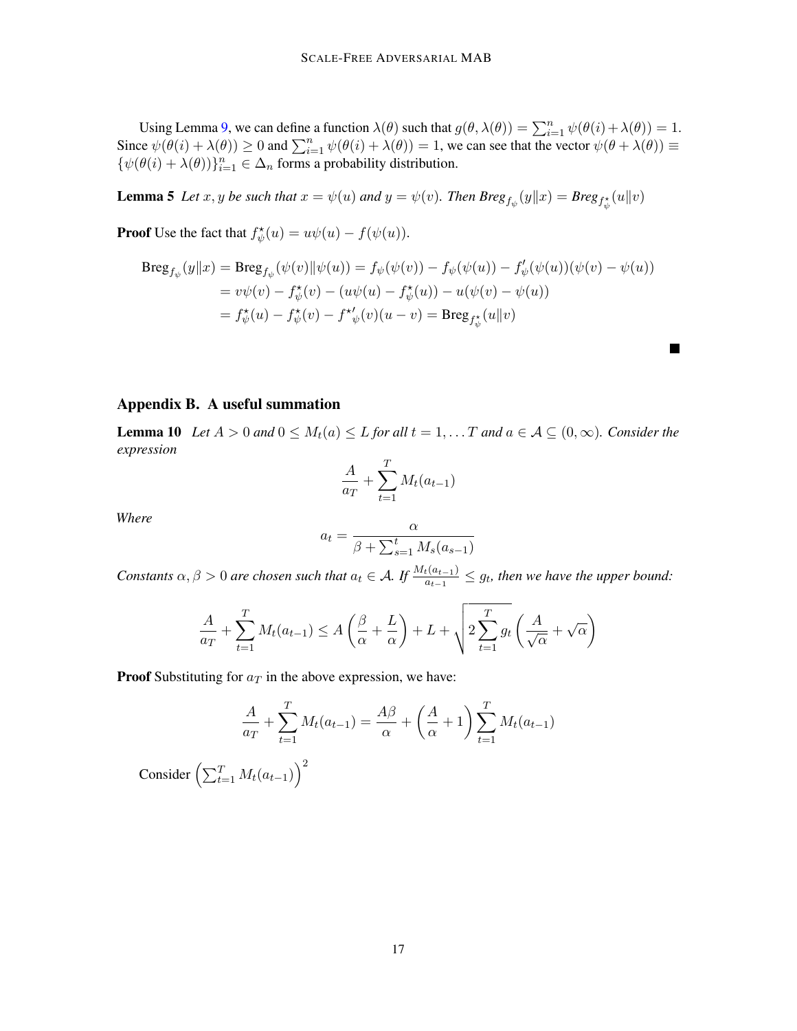Using Lemma [9,](#page-15-11) we can define a function  $\lambda(\theta)$  such that  $g(\theta, \lambda(\theta)) = \sum_{i=1}^{n} \psi(\theta(i) + \lambda(\theta)) = 1$ . Since  $\psi(\theta(i) + \lambda(\theta)) \ge 0$  and  $\sum_{i=1}^{n} \psi(\theta(i) + \lambda(\theta)) = 1$ , we can see that the vector  $\psi(\theta + \lambda(\theta)) \equiv$  $\{\psi(\theta(i) + \lambda(\theta))\}_{i=1}^n \in \Delta_n$  forms a probability distribution.

**Lemma 5** Let  $x, y$  be such that  $x = \psi(u)$  and  $y = \psi(v)$ . Then  $Breg_{f_{\psi}}(y||x) = Breg_{f_{\psi}^*}(u||v)$ 

**Proof** Use the fact that  $f_{\psi}^{\star}(u) = u\psi(u) - f(\psi(u))$ .

$$
Breg_{f_{\psi}}(y||x) = Breg_{f_{\psi}}(\psi(v)||\psi(u)) = f_{\psi}(\psi(v)) - f_{\psi}(\psi(u)) - f'_{\psi}(\psi(u))(\psi(v) - \psi(u))
$$
  
=  $v\psi(v) - f_{\psi}^*(v) - (u\psi(u) - f_{\psi}^*(u)) - u(\psi(v) - \psi(u))$   
=  $f_{\psi}^*(u) - f_{\psi}^*(v) - f^{\star'}_{\psi}(v)(u - v) = Breg_{f_{\psi}^*}(u||v)$ 

П

#### Appendix B. A useful summation

<span id="page-16-0"></span>**Lemma 10** *Let*  $A > 0$  *and*  $0 \leq M_t(a) \leq L$  *for all*  $t = 1, \ldots T$  *and*  $a \in A \subseteq (0, \infty)$ *. Consider the expression*

$$
\frac{A}{a_T} + \sum_{t=1}^T M_t(a_{t-1})
$$

*Where*

$$
a_t = \frac{\alpha}{\beta + \sum_{s=1}^t M_s(a_{s-1})}
$$

*Constants*  $\alpha, \beta > 0$  are chosen such that  $a_t \in A$ . If  $\frac{M_t(a_{t-1})}{a_{t-1}} \leq g_t$ , then we have the upper bound:

$$
\frac{A}{a_T} + \sum_{t=1}^T M_t(a_{t-1}) \le A\left(\frac{\beta}{\alpha} + \frac{L}{\alpha}\right) + L + \sqrt{2\sum_{t=1}^T g_t\left(\frac{A}{\sqrt{\alpha}} + \sqrt{\alpha}\right)}
$$

**Proof** Substituting for  $a<sub>T</sub>$  in the above expression, we have:

$$
\frac{A}{a_T} + \sum_{t=1}^{T} M_t(a_{t-1}) = \frac{A\beta}{\alpha} + \left(\frac{A}{\alpha} + 1\right) \sum_{t=1}^{T} M_t(a_{t-1})
$$

Consider  $\left(\sum_{t=1}^T M_t(a_{t-1})\right)^2$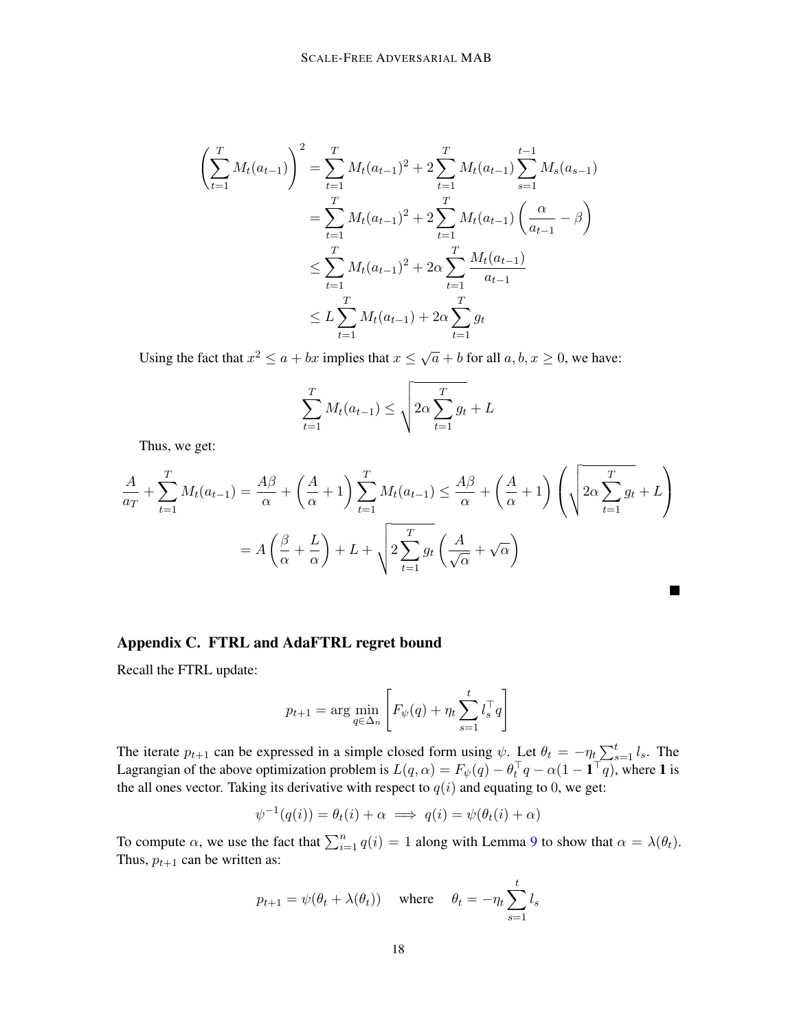$$
\left(\sum_{t=1}^{T} M_t(a_{t-1})\right)^2 = \sum_{t=1}^{T} M_t(a_{t-1})^2 + 2\sum_{t=1}^{T} M_t(a_{t-1}) \sum_{s=1}^{t-1} M_s(a_{s-1})
$$
  
= 
$$
\sum_{t=1}^{T} M_t(a_{t-1})^2 + 2\sum_{t=1}^{T} M_t(a_{t-1}) \left(\frac{\alpha}{a_{t-1}} - \beta\right)
$$
  

$$
\leq \sum_{t=1}^{T} M_t(a_{t-1})^2 + 2\alpha \sum_{t=1}^{T} \frac{M_t(a_{t-1})}{a_{t-1}}
$$
  

$$
\leq L \sum_{t=1}^{T} M_t(a_{t-1}) + 2\alpha \sum_{t=1}^{T} g_t
$$

Using the fact that  $x^2 \le a + bx$  implies that  $x \le \sqrt{a} + b$  for all  $a, b, x \ge 0$ , we have:

$$
\sum_{t=1}^{T} M_t(a_{t-1}) \le \sqrt{2\alpha \sum_{t=1}^{T} g_t + L}
$$

Thus, we get:

$$
\frac{A}{a_T} + \sum_{t=1}^T M_t(a_{t-1}) = \frac{A\beta}{\alpha} + \left(\frac{A}{\alpha} + 1\right) \sum_{t=1}^T M_t(a_{t-1}) \le \frac{A\beta}{\alpha} + \left(\frac{A}{\alpha} + 1\right) \left(\sqrt{2\alpha \sum_{t=1}^T g_t} + L\right)
$$

$$
= A\left(\frac{\beta}{\alpha} + \frac{L}{\alpha}\right) + L + \sqrt{2\sum_{t=1}^T g_t \left(\frac{A}{\sqrt{\alpha}} + \sqrt{\alpha}\right)}
$$

### <span id="page-17-0"></span>Appendix C. FTRL and AdaFTRL regret bound

Recall the FTRL update:

$$
p_{t+1} = \arg\min_{q \in \Delta_n} \left[ F_{\psi}(q) + \eta_t \sum_{s=1}^t l_s^{\top} q \right]
$$

The iterate  $p_{t+1}$  can be expressed in a simple closed form using  $\psi$ . Let  $\theta_t = -\eta_t \sum_{s=1}^t l_s$ . The Lagrangian of the above optimization problem is  $L(q, \alpha) = F_{\psi}(q) - \theta_t^{\top}q - \alpha(1 - \mathbf{1}^{\top}q)$ , where 1 is the all ones vector. Taking its derivative with respect to  $q(i)$  and equating to 0, we get:

$$
\psi^{-1}(q(i)) = \theta_t(i) + \alpha \implies q(i) = \psi(\theta_t(i) + \alpha)
$$

To compute  $\alpha$ , we use the fact that  $\sum_{i=1}^{n} q(i) = 1$  along with Lemma [9](#page-15-11) to show that  $\alpha = \lambda(\theta_t)$ . Thus,  $p_{t+1}$  can be written as:

$$
p_{t+1} = \psi(\theta_t + \lambda(\theta_t))
$$
 where  $\theta_t = -\eta_t \sum_{s=1}^t l_s$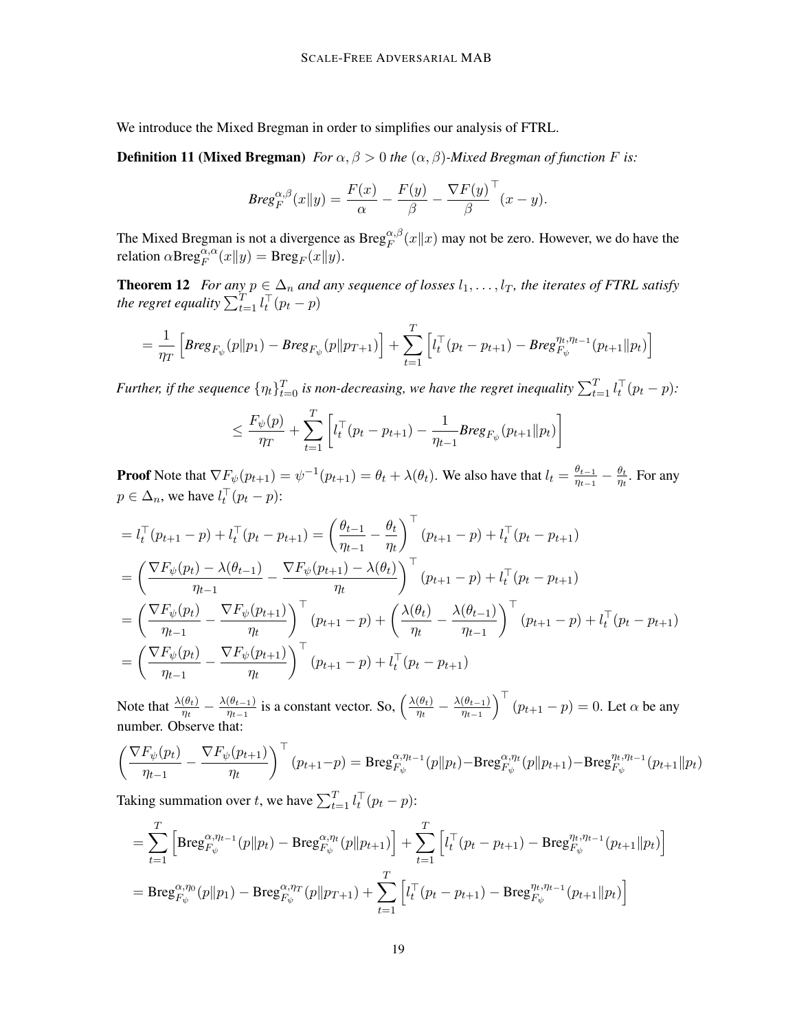We introduce the Mixed Bregman in order to simplifies our analysis of FTRL.

**Definition 11 (Mixed Bregman)** *For*  $\alpha$ ,  $\beta > 0$  *the*  $(\alpha, \beta)$ *-Mixed Bregman of function F is:* 

$$
Breg_F^{\alpha,\beta}(x||y) = \frac{F(x)}{\alpha} - \frac{F(y)}{\beta} - \frac{\nabla F(y)}{\beta}^{\top}(x-y).
$$

The Mixed Bregman is not a divergence as  $Breg_F^{\alpha,\beta}(x||x)$  may not be zero. However, we do have the relation  $\alpha \text{Breg}_F^{\alpha, \alpha}(x||y) = \text{Breg}_F(x||y)$ .

<span id="page-18-0"></span>**Theorem 12** *For any*  $p \in \Delta_n$  *and any sequence of losses*  $l_1, \ldots, l_T$ *, the iterates of FTRL satisfy* the regret equality  $\sum_{t=1}^{T} l_t^{\top}(p_t - p)$ 

$$
= \frac{1}{\eta_T} \left[ \text{Breg}_{F_{\psi}}(p||p_1) - \text{Breg}_{F_{\psi}}(p||p_{T+1}) \right] + \sum_{t=1}^T \left[ l_t^\top (p_t - p_{t+1}) - \text{Breg}_{F_{\psi}}^{\eta_t, \eta_{t-1}}(p_{t+1}||p_t) \right]
$$

Further, if the sequence  $\{\eta_t\}_{t=0}^T$  is non-decreasing, we have the regret inequality  $\sum_{t=1}^T l_t^\top (p_t - p)$ :

$$
\leq \frac{F_{\psi}(p)}{\eta_T} + \sum_{t=1}^T \left[ l_t^{\top} (p_t - p_{t+1}) - \frac{1}{\eta_{t-1}} \text{Breg}_{F_{\psi}}(p_{t+1} || p_t) \right]
$$

**Proof** Note that  $\nabla F_{\psi}(p_{t+1}) = \psi^{-1}(p_{t+1}) = \theta_t + \lambda(\theta_t)$ . We also have that  $l_t = \frac{\theta_{t-1}}{n_{t-1}}$  $\frac{\theta_{t-1}}{\eta_{t-1}}-\frac{\theta_t}{\eta_t}$  $\frac{\theta_t}{\eta_t}$ . For any  $p \in \Delta_n$ , we have  $l_t^{\top}(p_t - p)$ :

$$
= l_t^\top (p_{t+1} - p) + l_t^\top (p_t - p_{t+1}) = \left(\frac{\theta_{t-1}}{\eta_{t-1}} - \frac{\theta_t}{\eta_t}\right)^\top (p_{t+1} - p) + l_t^\top (p_t - p_{t+1})
$$
  
\n
$$
= \left(\frac{\nabla F_\psi(p_t) - \lambda(\theta_{t-1})}{\eta_{t-1}} - \frac{\nabla F_\psi(p_{t+1}) - \lambda(\theta_t)}{\eta_t}\right)^\top (p_{t+1} - p) + l_t^\top (p_t - p_{t+1})
$$
  
\n
$$
= \left(\frac{\nabla F_\psi(p_t)}{\eta_{t-1}} - \frac{\nabla F_\psi(p_{t+1})}{\eta_t}\right)^\top (p_{t+1} - p) + \left(\frac{\lambda(\theta_t)}{\eta_t} - \frac{\lambda(\theta_{t-1})}{\eta_{t-1}}\right)^\top (p_{t+1} - p) + l_t^\top (p_t - p_{t+1})
$$
  
\n
$$
= \left(\frac{\nabla F_\psi(p_t)}{\eta_{t-1}} - \frac{\nabla F_\psi(p_{t+1})}{\eta_t}\right)^\top (p_{t+1} - p) + l_t^\top (p_t - p_{t+1})
$$

Note that  $\frac{\lambda(\theta_t)}{\eta_t} - \frac{\lambda(\theta_{t-1})}{\eta_{t-1}}$  $\frac{(\theta_{t-1})}{\eta_{t-1}}$  is a constant vector. So,  $\left(\frac{\lambda(\theta_t)}{\eta_t}\right)$  $\frac{(\theta_t)}{\eta_t} - \frac{\lambda(\theta_{t-1})}{\eta_{t-1}}$  $\overline{\eta_{t-1}}$  $\int_0^{\top} (p_{t+1} - p) = 0$ . Let  $\alpha$  be any number. Observe that:

$$
\left(\frac{\nabla F_{\psi}(p_t)}{\eta_{t-1}} - \frac{\nabla F_{\psi}(p_{t+1})}{\eta_t}\right)^{\top} (p_{t+1} - p) = \text{Breg}_{F_{\psi}}^{\alpha, \eta_{t-1}}(p||p_t) - \text{Breg}_{F_{\psi}}^{\alpha, \eta_t}(p||p_{t+1}) - \text{Breg}_{F_{\psi}}^{\eta_t, \eta_{t-1}}(p_{t+1}||p_t)
$$

Taking summation over t, we have  $\sum_{t=1}^{T} l_t^{\top} (p_t - p)$ :

$$
= \sum_{t=1}^{T} \left[ \text{Breg}_{F_{\psi}}^{\alpha,\eta_{t-1}}(p||p_{t}) - \text{Breg}_{F_{\psi}}^{\alpha,\eta_{t}}(p||p_{t+1}) \right] + \sum_{t=1}^{T} \left[ l_{t}^{T}(p_{t} - p_{t+1}) - \text{Breg}_{F_{\psi}}^{\eta_{t},\eta_{t-1}}(p_{t+1}||p_{t}) \right]
$$
  
= 
$$
\text{Breg}_{F_{\psi}}^{\alpha,\eta_{0}}(p||p_{1}) - \text{Breg}_{F_{\psi}}^{\alpha,\eta_{T}}(p||p_{T+1}) + \sum_{t=1}^{T} \left[ l_{t}^{T}(p_{t} - p_{t+1}) - \text{Breg}_{F_{\psi}}^{\eta_{t},\eta_{t-1}}(p_{t+1}||p_{t}) \right]
$$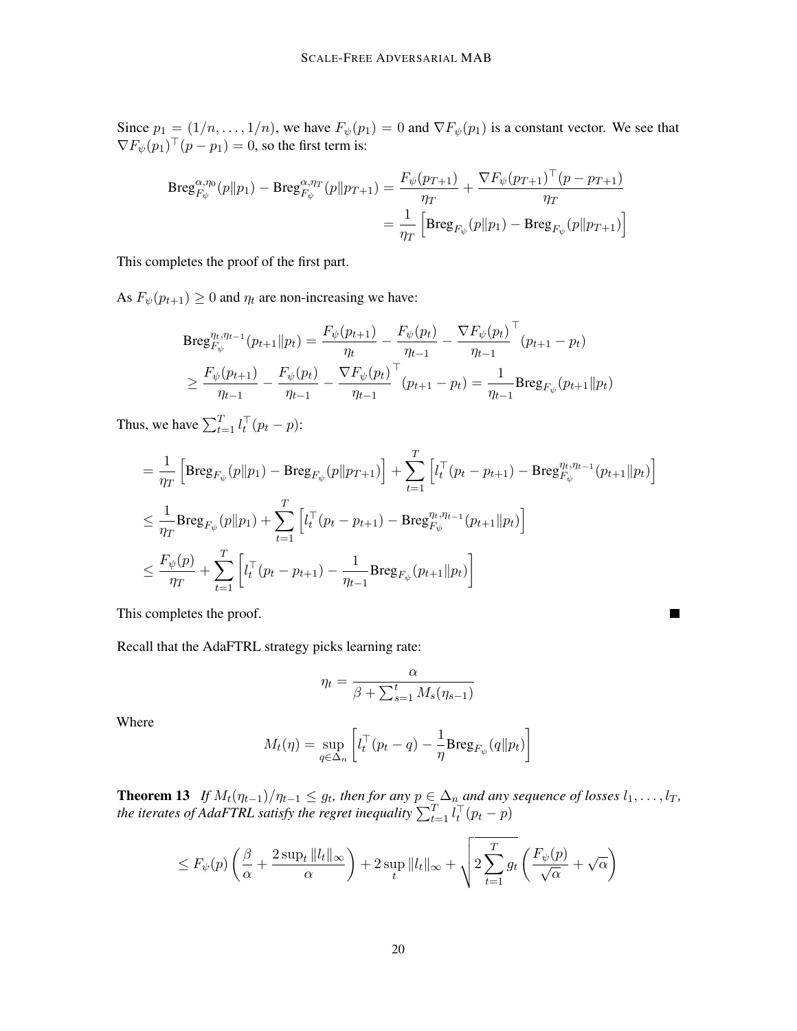Since  $p_1 = (1/n, \ldots, 1/n)$ , we have  $F_{\psi}(p_1) = 0$  and  $\nabla F_{\psi}(p_1)$  is a constant vector. We see that  $\nabla F_{\psi}(p_1)^{\top}(p-p_1) = 0$ , so the first term is:

$$
Breg_{F_{\psi}}^{\alpha,\eta_{0}}(p||p_{1}) - Breg_{F_{\psi}}^{\alpha,\eta_{T}}(p||p_{T+1}) = \frac{F_{\psi}(p_{T+1})}{\eta_{T}} + \frac{\nabla F_{\psi}(p_{T+1})^{\top}(p - p_{T+1})}{\eta_{T}}
$$

$$
= \frac{1}{\eta_{T}} \left[ Breg_{F_{\psi}}(p||p_{1}) - Breg_{F_{\psi}}(p||p_{T+1}) \right]
$$

This completes the proof of the first part.

As  $F_{\psi}(p_{t+1}) \ge 0$  and  $\eta_t$  are non-increasing we have:

$$
\begin{split} \text{Breg}_{F_{\psi}}^{\eta_t, \eta_{t-1}}(p_{t+1} \| p_t) &= \frac{F_{\psi}(p_{t+1})}{\eta_t} - \frac{F_{\psi}(p_t)}{\eta_{t-1}} - \frac{\nabla F_{\psi}(p_t)}{\eta_{t-1}}^{\top} (p_{t+1} - p_t) \\ &\ge \frac{F_{\psi}(p_{t+1})}{\eta_{t-1}} - \frac{F_{\psi}(p_t)}{\eta_{t-1}} - \frac{\nabla F_{\psi}(p_t)}{\eta_{t-1}}^{\top} (p_{t+1} - p_t) = \frac{1}{\eta_{t-1}} \text{Breg}_{F_{\psi}}(p_{t+1} \| p_t) \end{split}
$$

Thus, we have  $\sum_{t=1}^{T} l_t^{\top} (p_t - p)$ :

$$
= \frac{1}{\eta_T} \left[ \text{Breg}_{F_{\psi}}(p||p_1) - \text{Breg}_{F_{\psi}}(p||p_{T+1}) \right] + \sum_{t=1}^T \left[ l_t^{\top}(p_t - p_{t+1}) - \text{Breg}_{F_{\psi}}^{\eta_t, \eta_{t-1}}(p_{t+1}||p_t) \right]
$$
  

$$
\leq \frac{1}{\eta_T} \text{Breg}_{F_{\psi}}(p||p_1) + \sum_{t=1}^T \left[ l_t^{\top}(p_t - p_{t+1}) - \text{Breg}_{F_{\psi}}^{\eta_t, \eta_{t-1}}(p_{t+1}||p_t) \right]
$$
  

$$
\leq \frac{F_{\psi}(p)}{\eta_T} + \sum_{t=1}^T \left[ l_t^{\top}(p_t - p_{t+1}) - \frac{1}{\eta_{t-1}} \text{Breg}_{F_{\psi}}(p_{t+1}||p_t) \right]
$$

This completes the proof.

Recall that the AdaFTRL strategy picks learning rate:

$$
\eta_t = \frac{\alpha}{\beta + \sum_{s=1}^t M_s(\eta_{s-1})}
$$

 $\blacksquare$ 

Where

$$
M_t(\eta) = \sup_{q \in \Delta_n} \left[ l_t^\top (p_t - q) - \frac{1}{\eta} \text{Breg}_{F_\psi}(q \| p_t) \right]
$$

<span id="page-19-0"></span>**Theorem 13** If  $M_t(\eta_{t-1})/\eta_{t-1} \leq g_t$ , then for any  $p \in \Delta_n$  and any sequence of losses  $l_1, \ldots, l_T$ , the iterates of AdaFTRL satisfy the regret inequality  $\sum_{t=1}^T l_t^\top (p_t - p)$ 

$$
\leq F_{\psi}(p) \left( \frac{\beta}{\alpha} + \frac{2 \sup_{t} ||l_{t}||_{\infty}}{\alpha} \right) + 2 \sup_{t} ||l_{t}||_{\infty} + \sqrt{2 \sum_{t=1}^{T} g_{t} \left( \frac{F_{\psi}(p)}{\sqrt{\alpha}} + \sqrt{\alpha} \right)}
$$